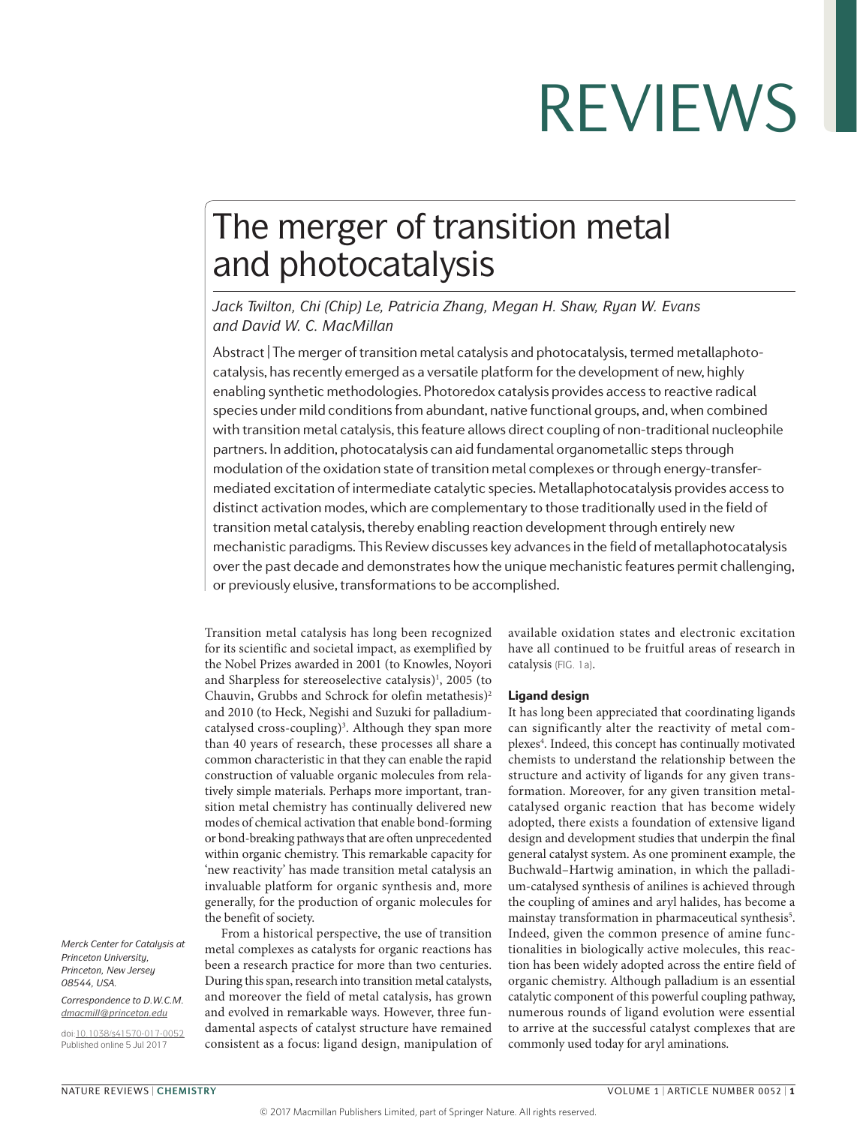## The merger of transition metal and photocatalysis

*Jack Twilton, Chi (Chip) Le, Patricia Zhang, Megan H. Shaw, Ryan W. Evans and David W. C. MacMillan*

Abstract | The merger of transition metal catalysis and photocatalysis, termed metallaphotocatalysis, has recently emerged as a versatile platform for the development of new, highly enabling synthetic methodologies. Photoredox catalysis provides access to reactive radical species under mild conditions from abundant, native functional groups, and, when combined with transition metal catalysis, this feature allows direct coupling of non-traditional nucleophile partners. In addition, photocatalysis can aid fundamental organometallic steps through modulation of the oxidation state of transition metal complexes or through energy-transfermediated excitation of intermediate catalytic species. Metallaphotocatalysis provides access to distinct activation modes, which are complementary to those traditionally used in the field of transition metal catalysis, thereby enabling reaction development through entirely new mechanistic paradigms. This Review discusses key advances in the field of metallaphotocatalysis over the past decade and demonstrates how the unique mechanistic features permit challenging, or previously elusive, transformations to be accomplished.

Transition metal catalysis has long been recognized for its scientific and societal impact, as exemplified by the Nobel Prizes awarded in 2001 (to Knowles, Noyori and Sharpless for stereoselective catalysis)<sup>1</sup>, 2005 (to Chauvin, Grubbs and Schrock for olefin metathesis)<sup>2</sup> and 2010 (to Heck, Negishi and Suzuki for palladiumcatalysed cross-coupling)<sup>3</sup>. Although they span more than 40 years of research, these processes all share a common characteristic in that they can enable the rapid construction of valuable organic molecules from relatively simple materials. Perhaps more important, transition metal chemistry has continually delivered new modes of chemical activation that enable bond-forming or bond-breaking pathways that are often unprecedented within organic chemistry. This remarkable capacity for 'new reactivity' has made transition metal catalysis an invaluable platform for organic synthesis and, more generally, for the production of organic molecules for the benefit of society.

From a historical perspective, the use of transition metal complexes as catalysts for organic reactions has been a research practice for more than two centuries. During this span, research into transition metal catalysts, and moreover the field of metal catalysis, has grown and evolved in remarkable ways. However, three fundamental aspects of catalyst structure have remained consistent as a focus: ligand design, manipulation of available oxidation states and electronic excitation have all continued to be fruitful areas of research in catalysis (FIG. 1a).

### Ligand design

It has long been appreciated that coordinating ligands can significantly alter the reactivity of metal complexes<sup>4</sup>. Indeed, this concept has continually motivated chemists to understand the relationship between the structure and activity of ligands for any given transformation. Moreover, for any given transition metalcatalysed organic reaction that has become widely adopted, there exists a foundation of extensive ligand design and development studies that underpin the final general catalyst system. As one prominent example, the Buchwald–Hartwig amination, in which the palladium-catalysed synthesis of anilines is achieved through the coupling of amines and aryl halides, has become a mainstay transformation in pharmaceutical synthesis<sup>5</sup>. Indeed, given the common presence of amine functionalities in biologically active molecules, this reaction has been widely adopted across the entire field of organic chemistry. Although palladium is an essential catalytic component of this powerful coupling pathway, numerous rounds of ligand evolution were essential to arrive at the successful catalyst complexes that are commonly used today for aryl aminations.

*Merck Center for Catalysis at Princeton University, Princeton, New Jersey 08544, USA.*

*Correspondence to D.W.C.M. [dmacmill@princeton.edu](mailto:?subject=)*

doi:[10.1038/s41570-017-0052](http://dx.doi.org/10.1038/s41570-017-0052) Published online 5 Jul 2017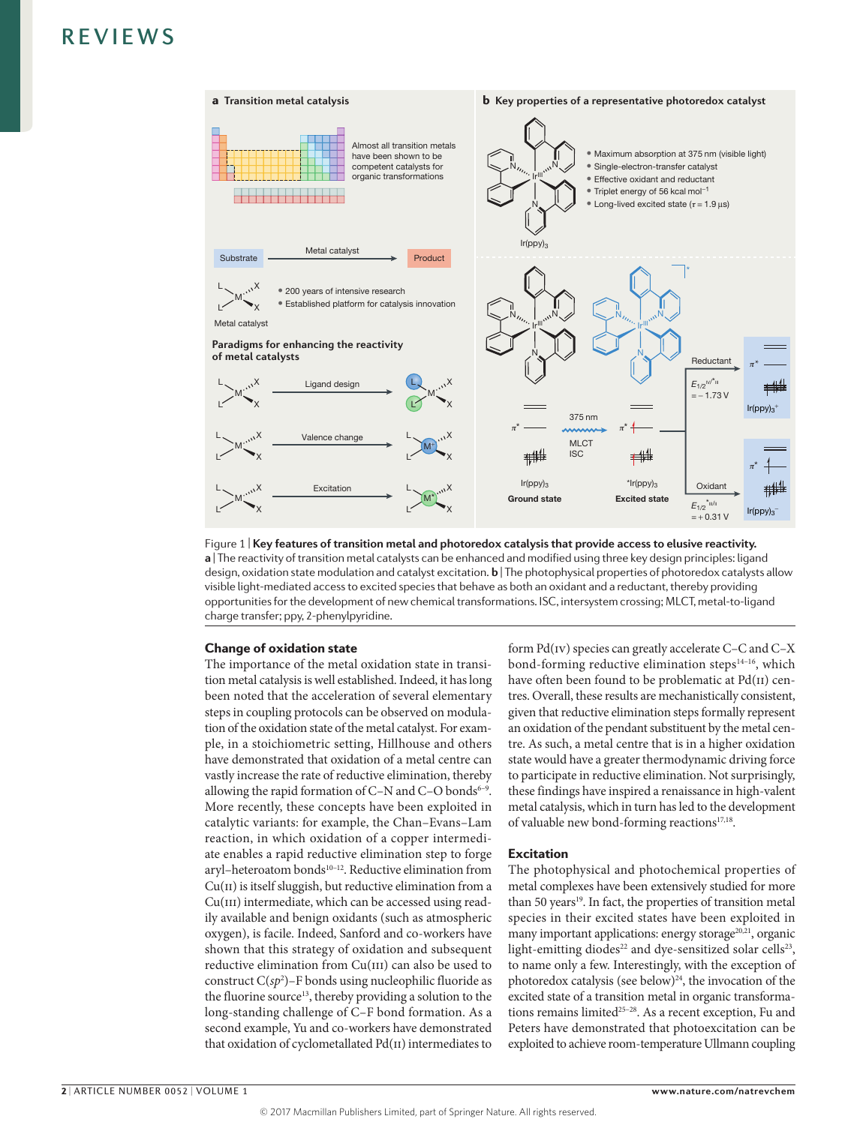

**a** | The reactivity of transition metal catalysts can be enhanced and modified using three key design principles: ligand Figure 1 | **Key features of transition metal and photoredox catalysis that provide access to elusive reactivity.**  design, oxidation state modulation and catalyst excitation. **b** | The photophysical properties of photoredox catalysts allow visible light-mediated access to excited species that behave as both an oxidant and a reductant, thereby providing opportunities for the development of new chemical transformations. ISC, intersystem crossing; MLCT, metal-to-ligand charge transfer; ppy, 2-phenylpyridine.

### Change of oxidation state

The importance of the metal oxidation state in transition metal catalysis is well established. Indeed, it has long been noted that the acceleration of several elementary steps in coupling protocols can be observed on modulation of the oxidation state of the metal catalyst. For example, in a stoichiometric setting, Hillhouse and others have demonstrated that oxidation of a metal centre can vastly increase the rate of reductive elimination, thereby allowing the rapid formation of  $C-N$  and  $C-O$  bonds<sup>6-9</sup>. More recently, these concepts have been exploited in catalytic variants: for example, the Chan–Evans–Lam reaction, in which oxidation of a copper intermediate enables a rapid reductive elimination step to forge aryl-heteroatom bonds<sup>10-12</sup>. Reductive elimination from  $Cu(II)$  is itself sluggish, but reductive elimination from a Cu(III) intermediate, which can be accessed using readily available and benign oxidants (such as atmospheric oxygen), is facile. Indeed, Sanford and co-workers have shown that this strategy of oxidation and subsequent reductive elimination from Cu(III) can also be used to construct  $C(sp^2)$ –F bonds using nucleophilic fluoride as the fluorine source<sup>13</sup>, thereby providing a solution to the long-standing challenge of C–F bond formation. As a second example, Yu and co-workers have demonstrated that oxidation of cyclometallated Pd(II) intermediates to form Pd(iv) species can greatly accelerate C–C and C–X bond-forming reductive elimination steps $14-16$ , which have often been found to be problematic at Pd(II) centres. Overall, these results are mechanistically consistent, given that reductive elimination steps formally represent an oxidation of the pendant substituent by the metal centre. As such, a metal centre that is in a higher oxidation state would have a greater thermodynamic driving force to participate in reductive elimination. Not surprisingly, these findings have inspired a renaissance in high-valent metal catalysis, which in turn has led to the development of valuable new bond-forming reactions<sup>17,18</sup>.

### Excitation

The photophysical and photochemical properties of metal complexes have been extensively studied for more than 50 years<sup>19</sup>. In fact, the properties of transition metal species in their excited states have been exploited in many important applications: energy storage<sup>20,21</sup>, organic light-emitting diodes<sup>22</sup> and dye-sensitized solar cells<sup>23</sup>, to name only a few. Interestingly, with the exception of photoredox catalysis (see below)<sup>24</sup>, the invocation of the excited state of a transition metal in organic transformations remains limited<sup>25-28</sup>. As a recent exception, Fu and Peters have demonstrated that photoexcitation can be exploited to achieve room-temperature Ullmann coupling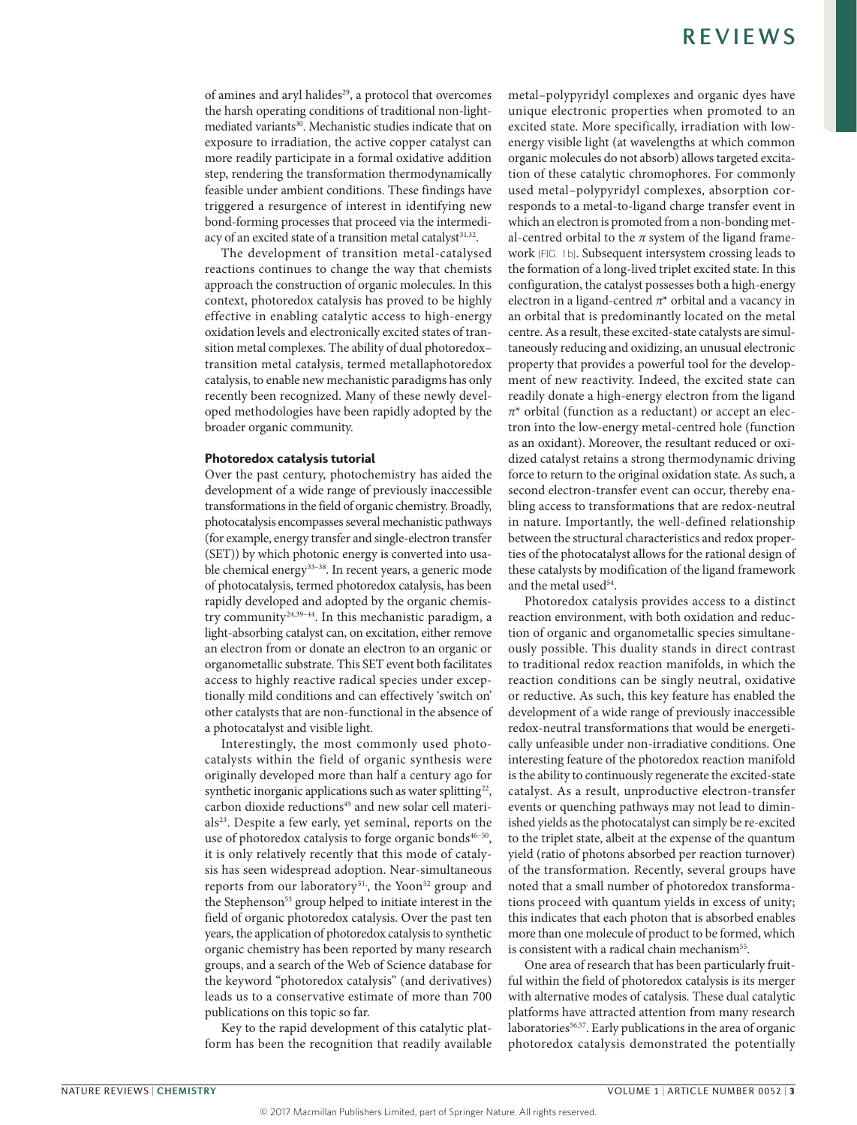of amines and aryl halides<sup>29</sup>, a protocol that overcomes the harsh operating conditions of traditional non-lightmediated variants<sup>30</sup>. Mechanistic studies indicate that on exposure to irradiation, the active copper catalyst can more readily participate in a formal oxidative addition step, rendering the transformation thermodynamically feasible under ambient conditions. These findings have triggered a resurgence of interest in identifying new bond-forming processes that proceed via the intermediacy of an excited state of a transition metal catalyst<sup>31,32</sup>.

The development of transition metal-catalysed reactions continues to change the way that chemists approach the construction of organic molecules. In this context, photoredox catalysis has proved to be highly effective in enabling catalytic access to high-energy oxidation levels and electronically excited states of transition metal complexes. The ability of dual photoredox– transition metal catalysis, termed metallaphotoredox catalysis, to enable new mechanistic paradigms has only recently been recognized. Many of these newly developed methodologies have been rapidly adopted by the broader organic community.

#### Photoredox catalysis tutorial

Over the past century, photochemistry has aided the development of a wide range of previously inaccessible transformations in the field of organic chemistry. Broadly, photocatalysis encompasses several mechanistic pathways (for example, energy transfer and single-electron transfer (SET)) by which photonic energy is converted into usable chemical energy<sup>33-38</sup>. In recent years, a generic mode of photocatalysis, termed photoredox catalysis, has been rapidly developed and adopted by the organic chemistry community24,39–44. In this mechanistic paradigm, a light-absorbing catalyst can, on excitation, either remove an electron from or donate an electron to an organic or organometallic substrate. This SET event both facilitates access to highly reactive radical species under exceptionally mild conditions and can effectively 'switch on' other catalysts that are non-functional in the absence of a photocatalyst and visible light.

Interestingly, the most commonly used photocatalysts within the field of organic synthesis were originally developed more than half a century ago for synthetic inorganic applications such as water splitting<sup>22</sup>, carbon dioxide reductions<sup>45</sup> and new solar cell materials<sup>23</sup>. Despite a few early, yet seminal, reports on the use of photoredox catalysis to forge organic bonds<sup>46-50</sup>, it is only relatively recently that this mode of catalysis has seen widespread adoption. Near-simultaneous reports from our laboratory<sup>51</sup>, the Yoon<sup>52</sup> group<sup>,</sup> and the Stephenson<sup>53</sup> group helped to initiate interest in the field of organic photoredox catalysis. Over the past ten years, the application of photoredox catalysis to synthetic organic chemistry has been reported by many research groups, and a search of the Web of Science database for the keyword "photoredox catalysis" (and derivatives) leads us to a conservative estimate of more than 700 publications on this topic so far.

Key to the rapid development of this catalytic platform has been the recognition that readily available metal–polypyridyl complexes and organic dyes have unique electronic properties when promoted to an excited state. More specifically, irradiation with lowenergy visible light (at wavelengths at which common organic molecules do not absorb) allows targeted excitation of these catalytic chromophores. For commonly used metal–polypyridyl complexes, absorption corresponds to a metal-to-ligand charge transfer event in which an electron is promoted from a non-bonding metal-centred orbital to the *π* system of the ligand framework (FIG. 1b). Subsequent intersystem crossing leads to the formation of a long-lived triplet excited state. In this configuration, the catalyst possesses both a high-energy electron in a ligand-centred *π*\* orbital and a vacancy in an orbital that is predominantly located on the metal centre. As a result, these excited-state catalysts are simultaneously reducing and oxidizing, an unusual electronic property that provides a powerful tool for the development of new reactivity. Indeed, the excited state can readily donate a high-energy electron from the ligand *π*\* orbital (function as a reductant) or accept an electron into the low-energy metal-centred hole (function as an oxidant). Moreover, the resultant reduced or oxidized catalyst retains a strong thermodynamic driving force to return to the original oxidation state. As such, a second electron-transfer event can occur, thereby enabling access to transformations that are redox-neutral in nature. Importantly, the well-defined relationship between the structural characteristics and redox properties of the photocatalyst allows for the rational design of these catalysts by modification of the ligand framework and the metal used<sup>54</sup>.

Photoredox catalysis provides access to a distinct reaction environment, with both oxidation and reduction of organic and organometallic species simultaneously possible. This duality stands in direct contrast to traditional redox reaction manifolds, in which the reaction conditions can be singly neutral, oxidative or reductive. As such, this key feature has enabled the development of a wide range of previously inaccessible redox-neutral transformations that would be energetically unfeasible under non-irradiative conditions. One interesting feature of the photoredox reaction manifold is the ability to continuously regenerate the excited-state catalyst. As a result, unproductive electron-transfer events or quenching pathways may not lead to diminished yields as the photocatalyst can simply be re-excited to the triplet state, albeit at the expense of the quantum yield (ratio of photons absorbed per reaction turnover) of the transformation. Recently, several groups have noted that a small number of photoredox transformations proceed with quantum yields in excess of unity; this indicates that each photon that is absorbed enables more than one molecule of product to be formed, which is consistent with a radical chain mechanism<sup>55</sup>.

One area of research that has been particularly fruitful within the field of photoredox catalysis is its merger with alternative modes of catalysis. These dual catalytic platforms have attracted attention from many research laboratories<sup>56,57</sup>. Early publications in the area of organic photoredox catalysis demonstrated the potentially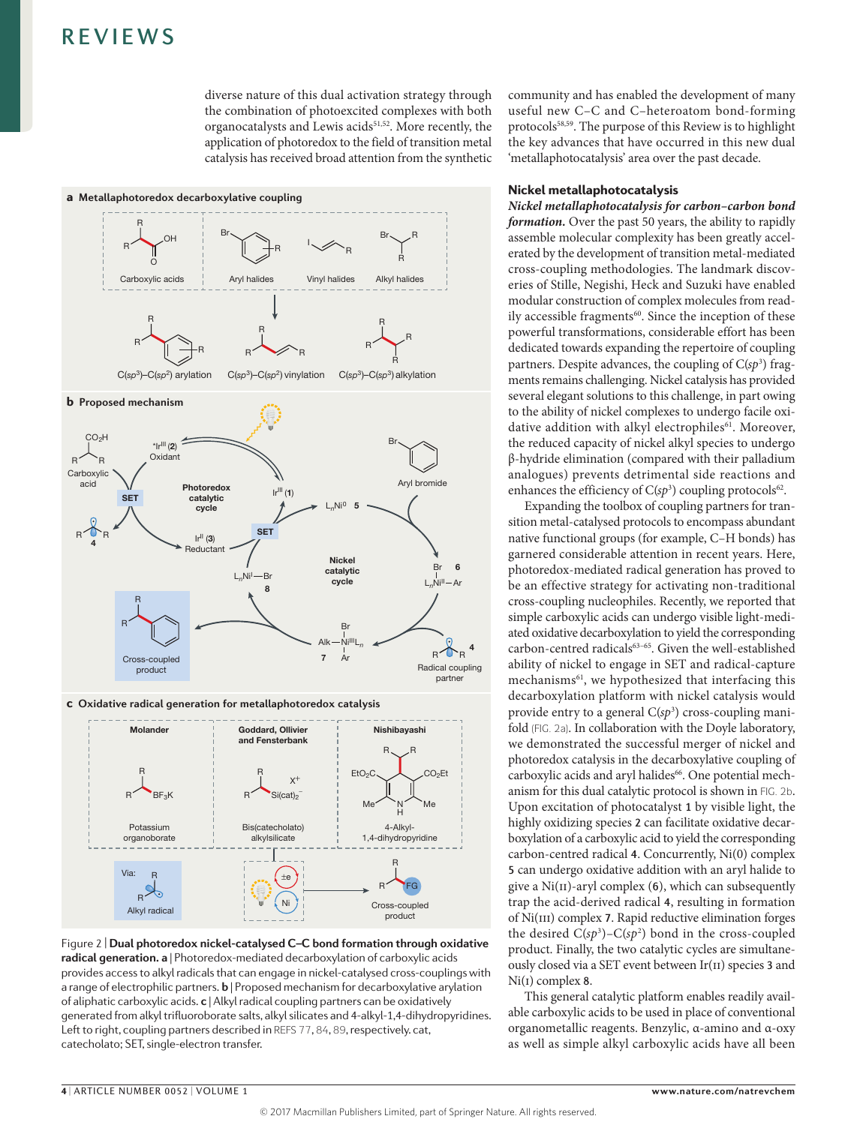diverse nature of this dual activation strategy through the combination of photoexcited complexes with both organocatalysts and Lewis acids<sup>51,52</sup>. More recently, the application of photoredox to the field of transition metal catalysis has received broad attention from the synthetic



**Figure 2 | Dual photoredox nickel-catalysed C–C bond formation through oxidative radical generation. a** | Photoredox-mediated decarboxylation of carboxylic acids provides access to alkyl radicals that can engage in nickel-catalysed cross-couplings with a range of electrophilic partners. **b** | Proposed mechanism for decarboxylative arylation of aliphatic carboxylic acids. **c** | Alkyl radical coupling partners can be oxidatively generated from alkyl trifluoroborate salts, alkyl silicates and 4-alkyl-1,4-dihydropyridines. Left to right, coupling partners described in REFS 77, 84, 89, respectively. cat, catecholato; SET, single-electron transfer.

community and has enabled the development of many useful new C–C and C–heteroatom bond-forming protocols58,59. The purpose of this Review is to highlight the key advances that have occurred in this new dual 'metallaphotocatalysis' area over the past decade.

### Nickel metallaphotocatalysis

*Nickel metallaphotocatalysis for carbon–carbon bond formation.* Over the past 50 years, the ability to rapidly assemble molecular complexity has been greatly accelerated by the development of transition metal-mediated cross-coupling methodologies. The landmark discoveries of Stille, Negishi, Heck and Suzuki have enabled modular construction of complex molecules from readily accessible fragments<sup>60</sup>. Since the inception of these powerful transformations, considerable effort has been dedicated towards expanding the repertoire of coupling partners. Despite advances, the coupling of C(sp<sup>3</sup>) fragments remains challenging. Nickel catalysis has provided several elegant solutions to this challenge, in part owing to the ability of nickel complexes to undergo facile oxidative addition with alkyl electrophiles<sup>61</sup>. Moreover, the reduced capacity of nickel alkyl species to undergo β-hydride elimination (compared with their palladium analogues) prevents detrimental side reactions and enhances the efficiency of  $C(sp^3)$  coupling protocols<sup>62</sup>.

Expanding the toolbox of coupling partners for transition metal-catalysed protocols to encompass abundant native functional groups (for example, C–H bonds) has garnered considerable attention in recent years. Here, photoredox-mediated radical generation has proved to be an effective strategy for activating non-traditional cross-coupling nucleophiles. Recently, we reported that simple carboxylic acids can undergo visible light-mediated oxidative decarboxylation to yield the corresponding carbon-centred radicals<sup>63-65</sup>. Given the well-established ability of nickel to engage in SET and radical-capture mechanisms<sup>61</sup>, we hypothesized that interfacing this decarboxylation platform with nickel catalysis would provide entry to a general C(sp<sup>3</sup>) cross-coupling manifold (FIG. 2a). In collaboration with the Doyle laboratory, we demonstrated the successful merger of nickel and photoredox catalysis in the decarboxylative coupling of carboxylic acids and aryl halides<sup>66</sup>. One potential mechanism for this dual catalytic protocol is shown in FIG. 2b. Upon excitation of photocatalyst 1 by visible light, the highly oxidizing species 2 can facilitate oxidative decarboxylation of a carboxylic acid to yield the corresponding carbon-centred radical 4. Concurrently, Ni(0) complex 5 can undergo oxidative addition with an aryl halide to give a  $Ni(II)$ -aryl complex (6), which can subsequently trap the acid-derived radical 4, resulting in formation of Ni(III) complex 7. Rapid reductive elimination forges the desired  $C(sp^3) - C(sp^2)$  bond in the cross-coupled product. Finally, the two catalytic cycles are simultaneously closed via a SET event between Ir(ii) species 3 and Ni(I) complex 8.

This general catalytic platform enables readily available carboxylic acids to be used in place of conventional organometallic reagents. Benzylic, α-amino and α-oxy as well as simple alkyl carboxylic acids have all been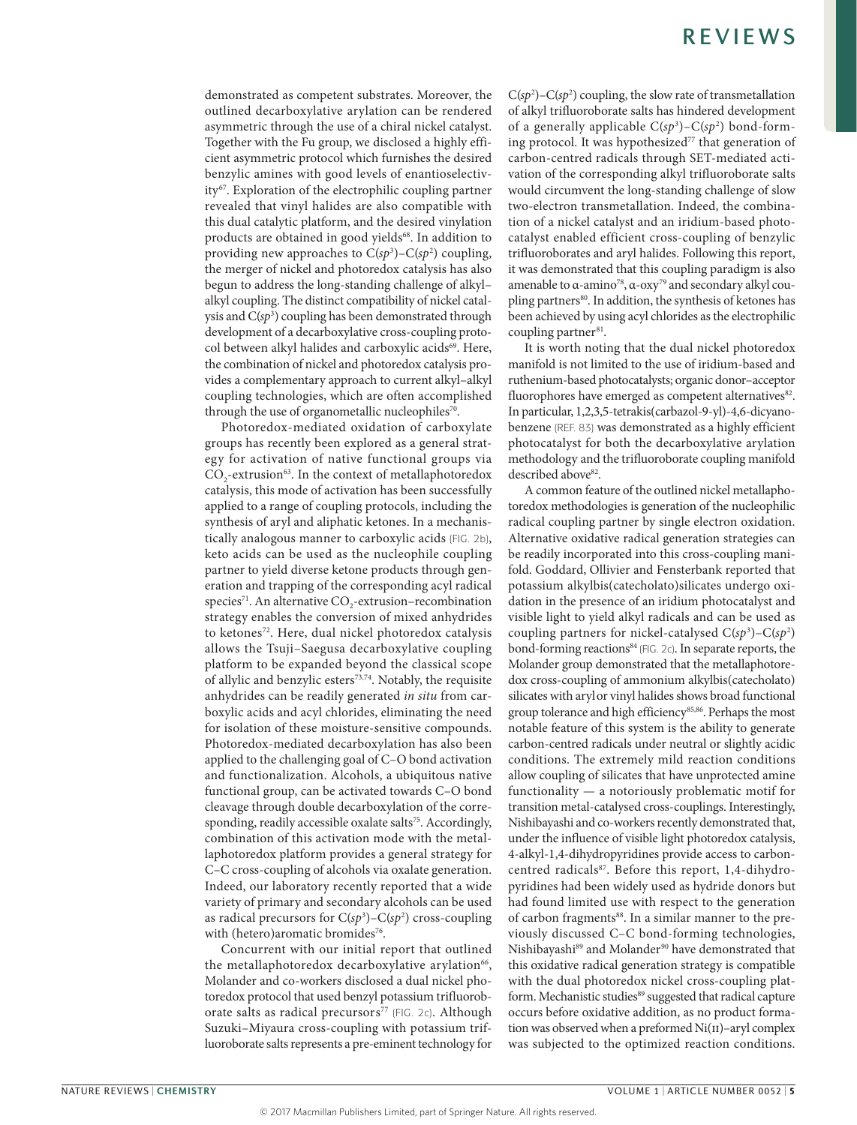demonstrated as competent substrates. Moreover, the outlined decarboxylative arylation can be rendered asymmetric through the use of a chiral nickel catalyst. Together with the Fu group, we disclosed a highly efficient asymmetric protocol which furnishes the desired benzylic amines with good levels of enantioselectivity67. Exploration of the electrophilic coupling partner revealed that vinyl halides are also compatible with this dual catalytic platform, and the desired vinylation products are obtained in good yields<sup>68</sup>. In addition to providing new approaches to  $C(sp^3)$ – $C(sp^2)$  coupling, the merger of nickel and photoredox catalysis has also begun to address the long-standing challenge of alkyl– alkyl coupling. The distinct compatibility of nickel catalysis and C(*sp*<sup>3</sup> ) coupling has been demonstrated through development of a decarboxylative cross-coupling protocol between alkyl halides and carboxylic acids<sup>69</sup>. Here, the combination of nickel and photoredox catalysis provides a complementary approach to current alkyl–alkyl coupling technologies, which are often accomplished through the use of organometallic nucleophiles<sup>70</sup>.

Photoredox-mediated oxidation of carboxylate groups has recently been explored as a general strategy for activation of native functional groups via CO<sub>2</sub>-extrusion<sup>63</sup>. In the context of metallaphotoredox catalysis, this mode of activation has been successfully applied to a range of coupling protocols, including the synthesis of aryl and aliphatic ketones. In a mechanistically analogous manner to carboxylic acids (FIG. 2b), keto acids can be used as the nucleophile coupling partner to yield diverse ketone products through generation and trapping of the corresponding acyl radical species<sup>71</sup>. An alternative  $CO_2$ -extrusion–recombination strategy enables the conversion of mixed anhydrides to ketones<sup>72</sup>. Here, dual nickel photoredox catalysis allows the Tsuji–Saegusa decarboxylative coupling platform to be expanded beyond the classical scope of allylic and benzylic esters $7^{3,74}$ . Notably, the requisite anhydrides can be readily generated *in situ* from carboxylic acids and acyl chlorides, eliminating the need for isolation of these moisture-sensitive compounds. Photoredox-mediated decarboxylation has also been applied to the challenging goal of C–O bond activation and functionalization. Alcohols, a ubiquitous native functional group, can be activated towards C–O bond cleavage through double decarboxylation of the corresponding, readily accessible oxalate salts<sup>75</sup>. Accordingly, combination of this activation mode with the metallaphotoredox platform provides a general strategy for C–C cross-coupling of alcohols via oxalate generation. Indeed, our laboratory recently reported that a wide variety of primary and secondary alcohols can be used as radical precursors for C(*sp*<sup>3</sup> )–C(*sp*<sup>2</sup> ) cross-coupling with (hetero)aromatic bromides<sup>76</sup>.

Concurrent with our initial report that outlined the metallaphotoredox decarboxylative arylation<sup>66</sup>, Molander and co-workers disclosed a dual nickel photoredox protocol that used benzyl potassium trifluoroborate salts as radical precursors<sup>77</sup> (FIG. 2c). Although Suzuki–Miyaura cross-coupling with potassium trifluoroborate salts represents a pre-eminent technology for

 $C(sp^2)$ – $C(sp^2)$  coupling, the slow rate of transmetallation of alkyl trifluoroborate salts has hindered development of a generally applicable C(*sp*<sup>3</sup> )–C(*sp*<sup>2</sup> ) bond-forming protocol. It was hypothesized<sup>77</sup> that generation of carbon-centred radicals through SET-mediated activation of the corresponding alkyl trifluoroborate salts would circumvent the long-standing challenge of slow two-electron transmetallation. Indeed, the combination of a nickel catalyst and an iridium-based photocatalyst enabled efficient cross-coupling of benzylic trifluoroborates and aryl halides. Following this report, it was demonstrated that this coupling paradigm is also amenable to  $\alpha$ -amino<sup>78</sup>,  $\alpha$ -oxy<sup>79</sup> and secondary alkyl coupling partners<sup>80</sup>. In addition, the synthesis of ketones has been achieved by using acyl chlorides as the electrophilic coupling partner<sup>81</sup>.

It is worth noting that the dual nickel photoredox manifold is not limited to the use of iridium-based and ruthenium-based photocatalysts; organic donor–acceptor fluorophores have emerged as competent alternatives<sup>82</sup>. In particular, 1,2,3,5-tetrakis(carbazol-9-yl)-4,6-dicyanobenzene (REF. 83) was demonstrated as a highly efficient photocatalyst for both the decarboxylative arylation methodology and the trifluoroborate coupling manifold described above<sup>82</sup>.

A common feature of the outlined nickel metallaphotoredox methodologies is generation of the nucleophilic radical coupling partner by single electron oxidation. Alternative oxidative radical generation strategies can be readily incorporated into this cross-coupling manifold. Goddard, Ollivier and Fensterbank reported that potassium alkylbis(catecholato)silicates undergo oxidation in the presence of an iridium photocatalyst and visible light to yield alkyl radicals and can be used as coupling partners for nickel-catalysed C(*sp*<sup>3</sup> )–C(*sp*<sup>2</sup> ) bond-forming reactions<sup>84</sup> (FIG. 2c). In separate reports, the Molander group demonstrated that the metallaphotoredox cross-coupling of ammonium alkylbis(catecholato) silicates with arylor vinyl halides shows broad functional group tolerance and high efficiency<sup>85,86</sup>. Perhaps the most notable feature of this system is the ability to generate carbon-centred radicals under neutral or slightly acidic conditions. The extremely mild reaction conditions allow coupling of silicates that have unprotected amine functionality — a notoriously problematic motif for transition metal-catalysed cross-couplings. Interestingly, Nishibayashi and co-workers recently demonstrated that, under the influence of visible light photoredox catalysis, 4-alkyl-1,4-dihydropyridines provide access to carboncentred radicals<sup>87</sup>. Before this report, 1,4-dihydropyridines had been widely used as hydride donors but had found limited use with respect to the generation of carbon fragments<sup>88</sup>. In a similar manner to the previously discussed C–C bond-forming technologies, Nishibayashi<sup>89</sup> and Molander<sup>90</sup> have demonstrated that this oxidative radical generation strategy is compatible with the dual photoredox nickel cross-coupling platform. Mechanistic studies<sup>89</sup> suggested that radical capture occurs before oxidative addition, as no product formation was observed when a preformed Ni(II)-aryl complex was subjected to the optimized reaction conditions.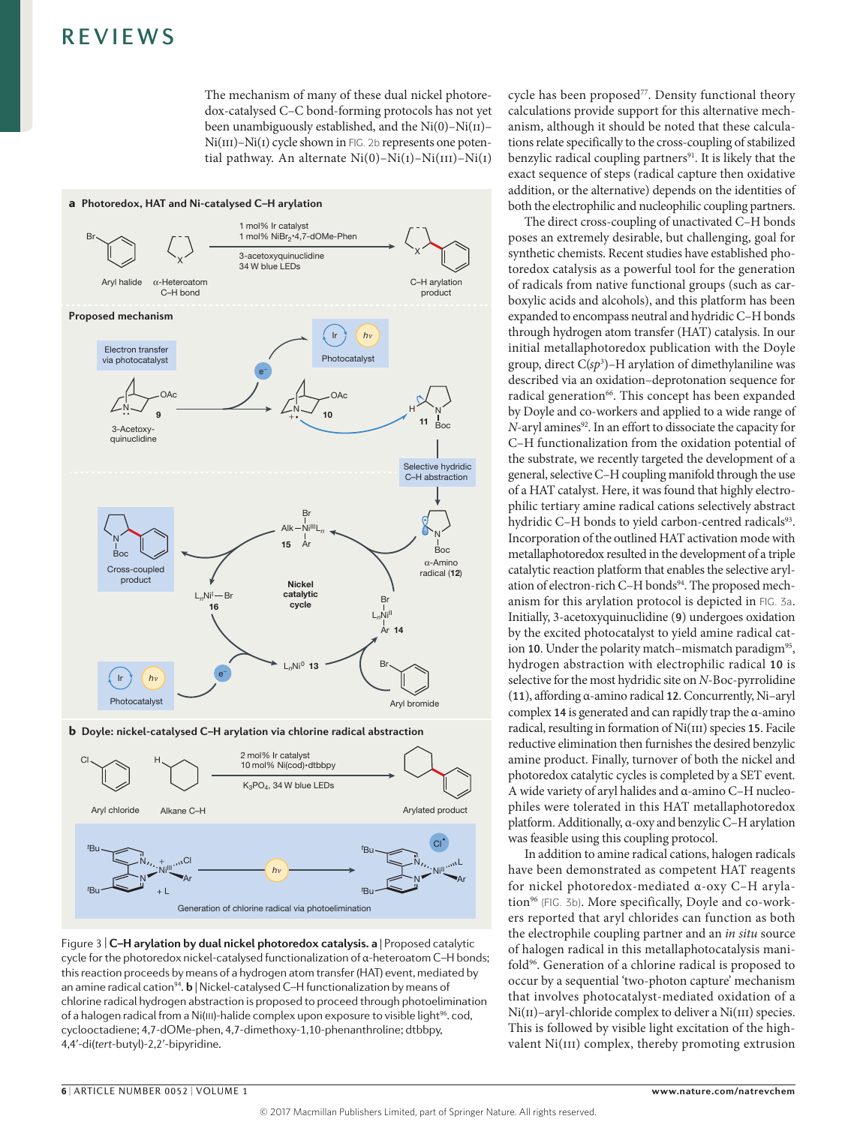The mechanism of many of these dual nickel photoredox-catalysed C–C bond-forming protocols has not yet been unambiguously established, and the  $Ni(0)-Ni(II)$ – Ni(III)–Ni(I) cycle shown in FIG. 2b represents one potential pathway. An alternate  $Ni(0)-Ni(1)-Ni(III)-Ni(1)$ 



b **Doyle: nickel-catalysed C–H arylation via chlorine radical abstraction**



Figure 3 | **C–H arylation by dual nickel photoredox catalysis. a** | Proposed catalytic cycle for the photoredox nickel-catalysed functionalization of  $\alpha$ -heteroatom C–H bonds; this reaction proceeds by means of a hydrogen atom transfer (HAT) event, mediated by an amine radical cation<sup>94</sup>. **b** | Nickel-catalysed C-H functionalization by means of chlorine radical hydrogen abstraction is proposed to proceed through photoelimination of a halogen radical from a Ni(III)-halide complex upon exposure to visible light<sup>96</sup>. cod, cyclooctadiene; 4,7-dOMe-phen, 4,7-dimethoxy-1,10-phenanthroline; dtbbpy, 4,4ʹ-di(*tert*-butyl)-2,2ʹ-bipyridine.

cycle has been proposed<sup>77</sup>. Density functional theory calculations provide support for this alternative mechanism, although it should be noted that these calculations relate specifically to the cross-coupling of stabilized benzylic radical coupling partners<sup>91</sup>. It is likely that the exact sequence of steps (radical capture then oxidative addition, or the alternative) depends on the identities of both the electrophilic and nucleophilic coupling partners.

The direct cross-coupling of unactivated C–H bonds poses an extremely desirable, but challenging, goal for synthetic chemists. Recent studies have established photoredox catalysis as a powerful tool for the generation of radicals from native functional groups (such as carboxylic acids and alcohols), and this platform has been expanded to encompass neutral and hydridic C–H bonds through hydrogen atom transfer (HAT) catalysis. In our initial metallaphotoredox publication with the Doyle group, direct C(*sp*<sup>3</sup> )–H arylation of dimethylaniline was described via an oxidation–deprotonation sequence for radical generation<sup>66</sup>. This concept has been expanded by Doyle and co-workers and applied to a wide range of *N*-aryl amines<sup>92</sup>. In an effort to dissociate the capacity for C–H functionalization from the oxidation potential of the substrate, we recently targeted the development of a general, selective C–H coupling manifold through the use of a HAT catalyst. Here, it was found that highly electrophilic tertiary amine radical cations selectively abstract hydridic C-H bonds to yield carbon-centred radicals<sup>93</sup>. Incorporation of the outlined HAT activation mode with metallaphotoredox resulted in the development of a triple catalytic reaction platform that enables the selective arylation of electron-rich C–H bonds<sup>94</sup>. The proposed mechanism for this arylation protocol is depicted in FIG. 3a. Initially, 3-acetoxyquinuclidine (9) undergoes oxidation by the excited photocatalyst to yield amine radical cation 10. Under the polarity match-mismatch paradigm<sup>95</sup>, hydrogen abstraction with electrophilic radical 10 is selective for the most hydridic site on *N*-Boc-pyrrolidine (11), affording α-amino radical 12. Concurrently, Ni–aryl complex 14 is generated and can rapidly trap the  $\alpha$ -amino radical, resulting in formation of Ni(III) species 15. Facile reductive elimination then furnishes the desired benzylic amine product. Finally, turnover of both the nickel and photoredox catalytic cycles is completed by a SET event. A wide variety of aryl halides and α-amino C–H nucleophiles were tolerated in this HAT metallaphotoredox platform. Additionally, α-oxy and benzylic C–H arylation was feasible using this coupling protocol.

In addition to amine radical cations, halogen radicals have been demonstrated as competent HAT reagents for nickel photoredox-mediated α-oxy C–H arylation<sup>96</sup> (FIG. 3b). More specifically, Doyle and co-workers reported that aryl chlorides can function as both the electrophile coupling partner and an *in situ* source of halogen radical in this metallaphotocatalysis manifold96. Generation of a chlorine radical is proposed to occur by a sequential 'two-photon capture' mechanism that involves photocatalyst-mediated oxidation of a Ni(II)–aryl-chloride complex to deliver a Ni(III) species. This is followed by visible light excitation of the highvalent Ni(III) complex, thereby promoting extrusion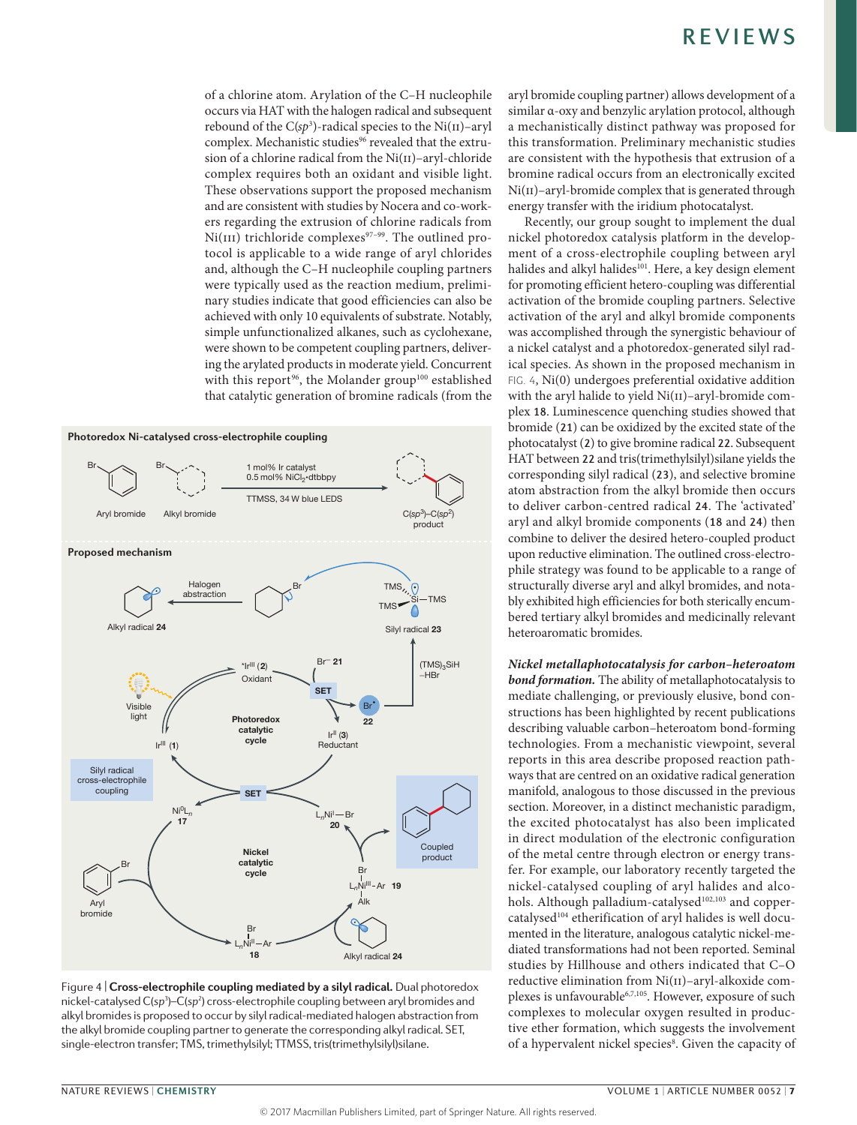of a chlorine atom. Arylation of the C–H nucleophile occurs via HAT with the halogen radical and subsequent rebound of the  $C(sp^3)$ -radical species to the  $Ni(II)$ –aryl complex. Mechanistic studies<sup>96</sup> revealed that the extrusion of a chlorine radical from the Ni(II)–aryl-chloride complex requires both an oxidant and visible light. These observations support the proposed mechanism and are consistent with studies by Nocera and co-workers regarding the extrusion of chlorine radicals from Ni(III) trichloride complexes<sup>97-99</sup>. The outlined protocol is applicable to a wide range of aryl chlorides and, although the C–H nucleophile coupling partners were typically used as the reaction medium, preliminary studies indicate that good efficiencies can also be achieved with only 10 equivalents of substrate. Notably, simple unfunctionalized alkanes, such as cyclohexane, were shown to be competent coupling partners, delivering the arylated products in moderate yield. Concurrent with this report<sup>96</sup>, the Molander group<sup>100</sup> established that catalytic generation of bromine radicals (from the





aryl bromide coupling partner) allows development of a similar α-oxy and benzylic arylation protocol, although a mechanistically distinct pathway was proposed for this transformation. Preliminary mechanistic studies are consistent with the hypothesis that extrusion of a bromine radical occurs from an electronically excited Ni(II)–aryl-bromide complex that is generated through energy transfer with the iridium photocatalyst.

Recently, our group sought to implement the dual nickel photoredox catalysis platform in the development of a cross-electrophile coupling between aryl halides and alkyl halides<sup>101</sup>. Here, a key design element for promoting efficient hetero-coupling was differential activation of the bromide coupling partners. Selective activation of the aryl and alkyl bromide components was accomplished through the synergistic behaviour of a nickel catalyst and a photoredox-generated silyl radical species. As shown in the proposed mechanism in FIG. 4, Ni(0) undergoes preferential oxidative addition with the aryl halide to yield Ni(II)-aryl-bromide complex 18. Luminescence quenching studies showed that bromide (21) can be oxidized by the excited state of the photocatalyst (2) to give bromine radical 22. Subsequent HAT between 22 and tris(trimethylsilyl)silane yields the corresponding silyl radical (23), and selective bromine atom abstraction from the alkyl bromide then occurs to deliver carbon-centred radical 24. The 'activated' aryl and alkyl bromide components (18 and 24) then combine to deliver the desired hetero-coupled product upon reductive elimination. The outlined cross-electrophile strategy was found to be applicable to a range of structurally diverse aryl and alkyl bromides, and notably exhibited high efficiencies for both sterically encumbered tertiary alkyl bromides and medicinally relevant heteroaromatic bromides.

*Nickel metallaphotocatalysis for carbon–heteroatom bond formation.* The ability of metallaphotocatalysis to mediate challenging, or previously elusive, bond constructions has been highlighted by recent publications describing valuable carbon–heteroatom bond-forming technologies. From a mechanistic viewpoint, several reports in this area describe proposed reaction pathways that are centred on an oxidative radical generation manifold, analogous to those discussed in the previous section. Moreover, in a distinct mechanistic paradigm, the excited photocatalyst has also been implicated in direct modulation of the electronic configuration of the metal centre through electron or energy transfer. For example, our laboratory recently targeted the nickel-catalysed coupling of aryl halides and alcohols. Although palladium-catalysed<sup>102,103</sup> and coppercatalysed<sup>104</sup> etherification of aryl halides is well documented in the literature, analogous catalytic nickel-mediated transformations had not been reported. Seminal studies by Hillhouse and others indicated that C–O reductive elimination from Ni(II)–aryl-alkoxide complexes is unfavourable<sup>6,7,105</sup>. However, exposure of such complexes to molecular oxygen resulted in productive ether formation, which suggests the involvement of a hypervalent nickel species<sup>8</sup>. Given the capacity of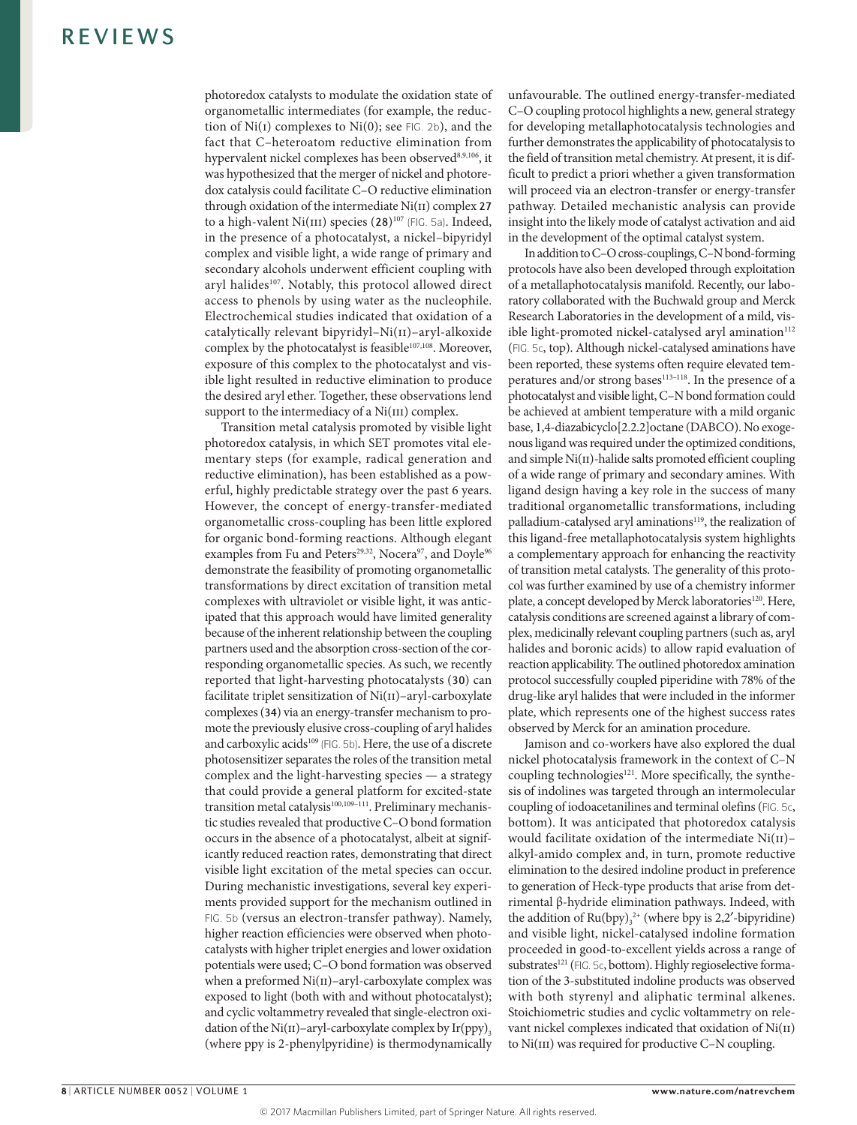photoredox catalysts to modulate the oxidation state of organometallic intermediates (for example, the reduction of  $Ni(I)$  complexes to  $Ni(0)$ ; see FIG. 2b), and the fact that C–heteroatom reductive elimination from hypervalent nickel complexes has been observed<sup>8,9,106</sup>, it was hypothesized that the merger of nickel and photoredox catalysis could facilitate C–O reductive elimination through oxidation of the intermediate  $Ni(II)$  complex 27 to a high-valent Ni(III) species (28)<sup>107</sup> (FIG. 5a). Indeed, in the presence of a photocatalyst, a nickel–bipyridyl complex and visible light, a wide range of primary and secondary alcohols underwent efficient coupling with aryl halides<sup>107</sup>. Notably, this protocol allowed direct access to phenols by using water as the nucleophile. Electrochemical studies indicated that oxidation of a catalytically relevant bipyridyl–Ni(ii)–aryl-alkoxide complex by the photocatalyst is feasible<sup>107,108</sup>. Moreover, exposure of this complex to the photocatalyst and visible light resulted in reductive elimination to produce the desired aryl ether. Together, these observations lend support to the intermediacy of a Ni(III) complex.

Transition metal catalysis promoted by visible light photoredox catalysis, in which SET promotes vital elementary steps (for example, radical generation and reductive elimination), has been established as a powerful, highly predictable strategy over the past 6 years. However, the concept of energy-transfer-mediated organometallic cross-coupling has been little explored for organic bond-forming reactions. Although elegant examples from Fu and Peters<sup>29,32</sup>, Nocera<sup>97</sup>, and Doyle<sup>96</sup> demonstrate the feasibility of promoting organometallic transformations by direct excitation of transition metal complexes with ultraviolet or visible light, it was anticipated that this approach would have limited generality because of the inherent relationship between the coupling partners used and the absorption cross-section of the corresponding organometallic species. As such, we recently reported that light-harvesting photocatalysts (30) can facilitate triplet sensitization of Ni(ii)–aryl-carboxylate complexes (34) via an energy-transfer mechanism to promote the previously elusive cross-coupling of aryl halides and carboxylic acids<sup>109</sup> (FIG. 5b). Here, the use of a discrete photosensitizer separates the roles of the transition metal complex and the light-harvesting species — a strategy that could provide a general platform for excited-state transition metal catalysis<sup>100,109-111</sup>. Preliminary mechanistic studies revealed that productive C–O bond formation occurs in the absence of a photocatalyst, albeit at significantly reduced reaction rates, demonstrating that direct visible light excitation of the metal species can occur. During mechanistic investigations, several key experiments provided support for the mechanism outlined in FIG. 5b (versus an electron-transfer pathway). Namely, higher reaction efficiencies were observed when photocatalysts with higher triplet energies and lower oxidation potentials were used; C–O bond formation was observed when a preformed Ni(II)–aryl-carboxylate complex was exposed to light (both with and without photocatalyst); and cyclic voltammetry revealed that single-electron oxidation of the Ni(II)–aryl-carboxylate complex by  $Ir(ppy)$ <sub>3</sub> (where ppy is 2-phenylpyridine) is thermodynamically unfavourable. The outlined energy-transfer-mediated C–O coupling protocol highlights a new, general strategy for developing metallaphotocatalysis technologies and further demonstrates the applicability of photocatalysis to the field of transition metal chemistry. At present, it is difficult to predict a priori whether a given transformation will proceed via an electron-transfer or energy-transfer pathway. Detailed mechanistic analysis can provide insight into the likely mode of catalyst activation and aid in the development of the optimal catalyst system.

In addition to C–O cross-couplings, C–N bond-forming protocols have also been developed through exploitation of a metallaphotocatalysis manifold. Recently, our laboratory collaborated with the Buchwald group and Merck Research Laboratories in the development of a mild, visible light-promoted nickel-catalysed aryl amination<sup>112</sup> (FIG. 5c, top). Although nickel-catalysed aminations have been reported, these systems often require elevated temperatures and/or strong bases<sup>113-118</sup>. In the presence of a photocatalyst and visible light, C–N bond formation could be achieved at ambient temperature with a mild organic base, 1,4-diazabicyclo[2.2.2]octane (DABCO). No exogenous ligand was required under the optimized conditions, and simple Ni(II)-halide salts promoted efficient coupling of a wide range of primary and secondary amines. With ligand design having a key role in the success of many traditional organometallic transformations, including palladium-catalysed aryl aminations<sup>119</sup>, the realization of this ligand-free metallaphotocatalysis system highlights a complementary approach for enhancing the reactivity of transition metal catalysts. The generality of this protocol was further examined by use of a chemistry informer plate, a concept developed by Merck laboratories<sup>120</sup>. Here, catalysis conditions are screened against a library of complex, medicinally relevant coupling partners (such as, aryl halides and boronic acids) to allow rapid evaluation of reaction applicability. The outlined photoredox amination protocol successfully coupled piperidine with 78% of the drug-like aryl halides that were included in the informer plate, which represents one of the highest success rates observed by Merck for an amination procedure.

Jamison and co-workers have also explored the dual nickel photocatalysis framework in the context of C–N coupling technologies $121$ . More specifically, the synthesis of indolines was targeted through an intermolecular coupling of iodoacetanilines and terminal olefins (FIG. 5c, bottom). It was anticipated that photoredox catalysis would facilitate oxidation of the intermediate  $Ni(II)$ – alkyl-amido complex and, in turn, promote reductive elimination to the desired indoline product in preference to generation of Heck-type products that arise from detrimental β-hydride elimination pathways. Indeed, with the addition of  $Ru(bpy)_{3}^{2+}$  (where bpy is 2,2'-bipyridine) and visible light, nickel-catalysed indoline formation proceeded in good-to-excellent yields across a range of substrates<sup>121</sup> (FIG. 5c, bottom). Highly regioselective formation of the 3-substituted indoline products was observed with both styrenyl and aliphatic terminal alkenes. Stoichiometric studies and cyclic voltammetry on relevant nickel complexes indicated that oxidation of Ni(II) to Ni(III) was required for productive C-N coupling.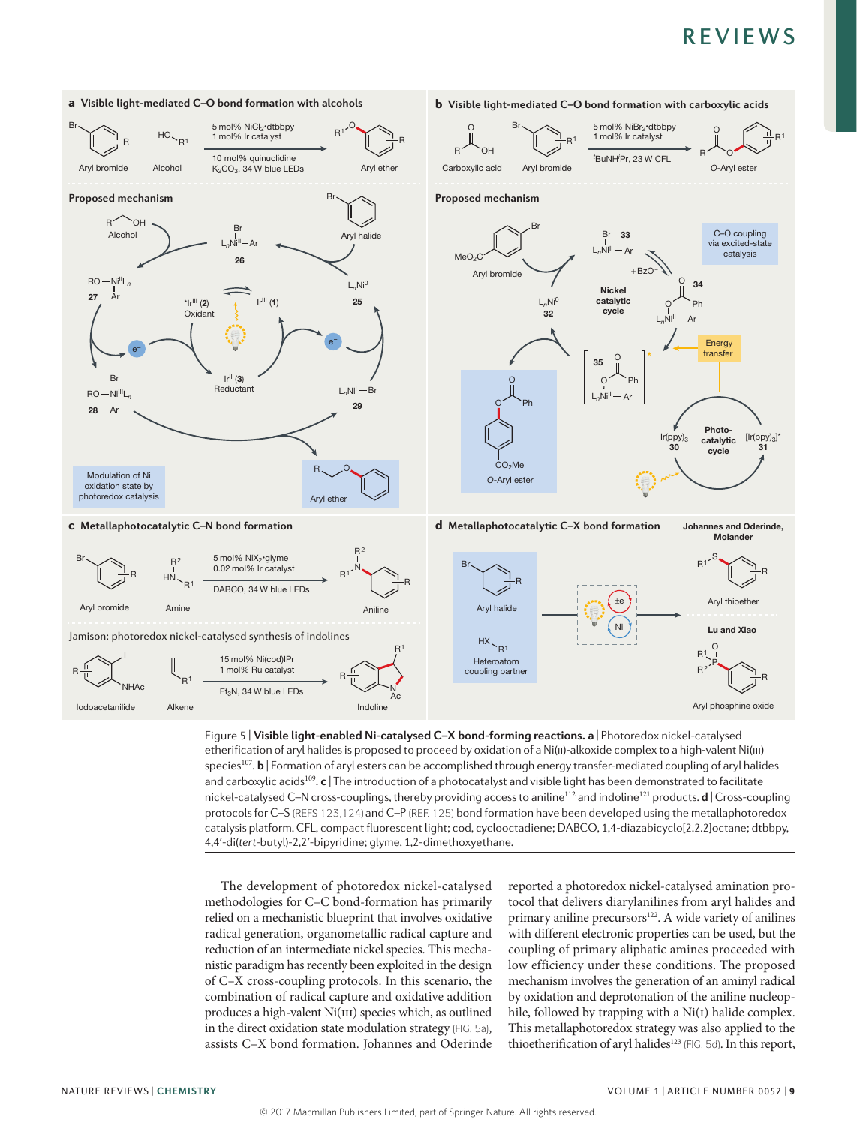

**Nature Reviews** | **Chemistry** etherification of aryl halides is proposed to proceed by oxidation of a Ni(ii)-alkoxide complex to a high-valent Ni(iii) Figure 5 | **Visible light-enabled Ni-catalysed C–X bond-forming reactions. a** | Photoredox nickel‑catalysed species<sup>107</sup>. **b** | Formation of aryl esters can be accomplished through energy transfer-mediated coupling of aryl halides and carboxylic acids<sup>109</sup>. **c** | The introduction of a photocatalyst and visible light has been demonstrated to facilitate nickel‑catalysed C–N cross-couplings, thereby providing access to aniline<sup>112</sup> and indoline<sup>121</sup> products. **d** | Cross-coupling protocols for C–S (REFS 123,124)and C–P (REF. 125) bond formation have been developed using the metallaphotoredox catalysis platform. CFL, compact fluorescent light; cod, cyclooctadiene; DABCO, 1,4-diazabicyclo[2.2.2]octane; dtbbpy, 4,4ʹ-di(*tert*-butyl)-2,2ʹ-bipyridine; glyme, 1,2-dimethoxyethane.

The development of photoredox nickel-catalysed methodologies for C–C bond-formation has primarily relied on a mechanistic blueprint that involves oxidative radical generation, organometallic radical capture and reduction of an intermediate nickel species. This mechanistic paradigm has recently been exploited in the design of C–X cross-coupling protocols. In this scenario, the combination of radical capture and oxidative addition produces a high-valent Ni(III) species which, as outlined in the direct oxidation state modulation strategy (FIG. 5a), assists C–X bond formation. Johannes and Oderinde

reported a photoredox nickel-catalysed amination protocol that delivers diarylanilines from aryl halides and primary aniline precursors<sup>122</sup>. A wide variety of anilines with different electronic properties can be used, but the coupling of primary aliphatic amines proceeded with low efficiency under these conditions. The proposed mechanism involves the generation of an aminyl radical by oxidation and deprotonation of the aniline nucleophile, followed by trapping with a Ni(I) halide complex. This metallaphotoredox strategy was also applied to the thioetherification of aryl halides<sup>123</sup> (FIG. 5d). In this report,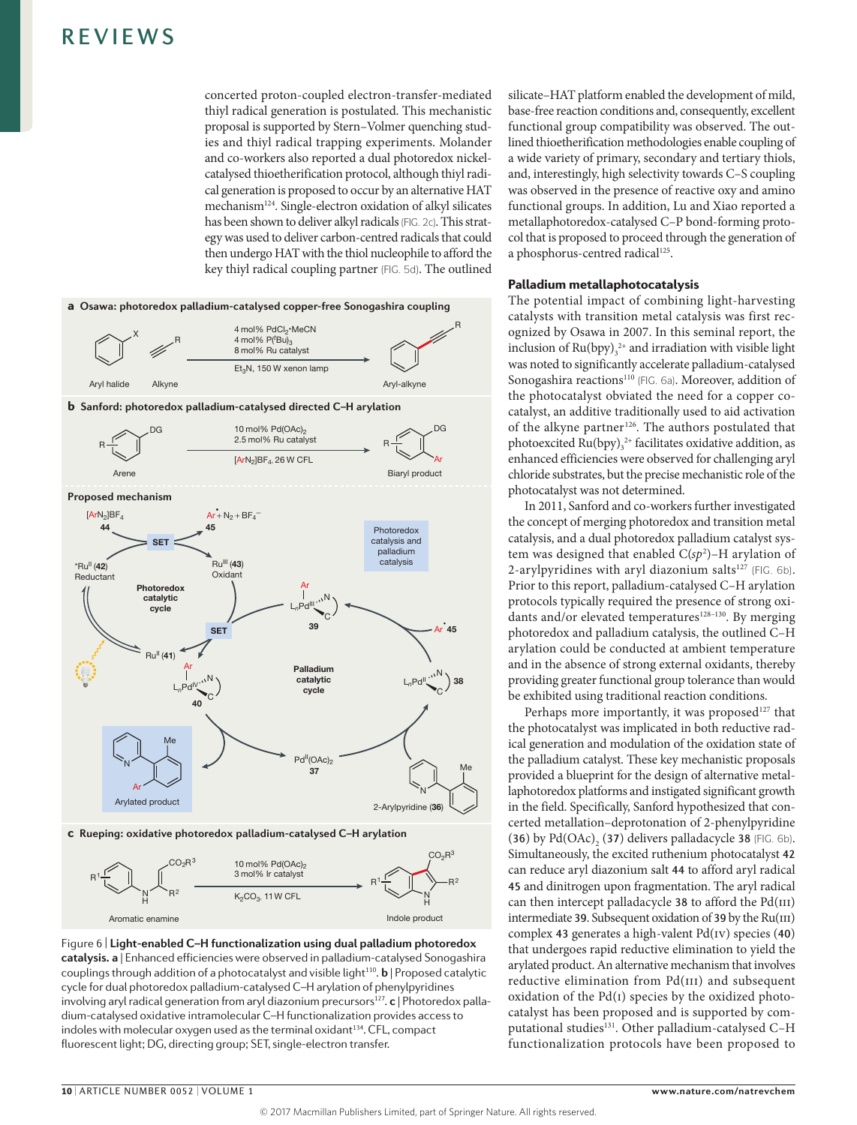concerted proton-coupled electron-transfer-mediated thiyl radical generation is postulated. This mechanistic proposal is supported by Stern–Volmer quenching studies and thiyl radical trapping experiments. Molander and co-workers also reported a dual photoredox nickelcatalysed thioetherification protocol, although thiyl radical generation is proposed to occur by an alternative HAT mechanism124. Single-electron oxidation of alkyl silicates has been shown to deliver alkyl radicals (FIG. 2c). This strategy was used to deliver carbon-centred radicals that could then undergo HAT with the thiol nucleophile to afford the key thiyl radical coupling partner (FIG. 5d). The outlined





**Figure 6 | Light-enabled C–H functionalization using dual palladium photoredox catalysis. a** | Enhanced efficiencies were observed in palladium‑catalysed Sonogashira couplings through addition of a photocatalyst and visible light<sup>110</sup>. **b** | Proposed catalytic cycle for dual photoredox palladium-catalysed C-H arylation of phenylpyridines involving aryl radical generation from aryl diazonium precursors<sup>127</sup>. **c** | Photoredox palladium-catalysed oxidative intramolecular C-H functionalization provides access to indoles with molecular oxygen used as the terminal oxidant<sup>134</sup>. CFL, compact fluorescent light; DG, directing group; SET, single-electron transfer.

silicate–HAT platform enabled the development of mild, base-free reaction conditions and, consequently, excellent functional group compatibility was observed. The outlined thioetherification methodologies enable coupling of a wide variety of primary, secondary and tertiary thiols, and, interestingly, high selectivity towards C–S coupling was observed in the presence of reactive oxy and amino functional groups. In addition, Lu and Xiao reported a metallaphotoredox-catalysed C–P bond-forming protocol that is proposed to proceed through the generation of a phosphorus-centred radical<sup>125</sup>.

### Palladium metallaphotocatalysis

The potential impact of combining light-harvesting catalysts with transition metal catalysis was first recognized by Osawa in 2007. In this seminal report, the inclusion of  $Ru(bpy)_{3}^{2+}$  and irradiation with visible light was noted to significantly accelerate palladium-catalysed Sonogashira reactions<sup>110</sup> (FIG. 6a). Moreover, addition of the photocatalyst obviated the need for a copper cocatalyst, an additive traditionally used to aid activation of the alkyne partner<sup>126</sup>. The authors postulated that photoexcited  $Ru(bpy)_{3}^{2+}$  facilitates oxidative addition, as enhanced efficiencies were observed for challenging aryl chloride substrates, but the precise mechanistic role of the photocatalyst was not determined.

In 2011, Sanford and co-workers further investigated the concept of merging photoredox and transition metal catalysis, and a dual photoredox palladium catalyst system was designed that enabled C(*sp*<sup>2</sup> )–H arylation of 2-arylpyridines with aryl diazonium salts $^{127}$  (FIG. 6b). Prior to this report, palladium-catalysed C–H arylation protocols typically required the presence of strong oxidants and/or elevated temperatures<sup>128-130</sup>. By merging photoredox and palladium catalysis, the outlined C–H arylation could be conducted at ambient temperature and in the absence of strong external oxidants, thereby providing greater functional group tolerance than would be exhibited using traditional reaction conditions.

Perhaps more importantly, it was proposed<sup>127</sup> that the photocatalyst was implicated in both reductive radical generation and modulation of the oxidation state of the palladium catalyst. These key mechanistic proposals provided a blueprint for the design of alternative metallaphotoredox platforms and instigated significant growth in the field. Specifically, Sanford hypothesized that concerted metallation–deprotonation of 2-phenylpyridine (36) by  $Pd(OAc)$ , (37) delivers palladacycle 38 (FIG. 6b). Simultaneously, the excited ruthenium photocatalyst 42 can reduce aryl diazonium salt 44 to afford aryl radical 45 and dinitrogen upon fragmentation. The aryl radical can then intercept palladacycle  $38$  to afford the Pd(III) intermediate 39. Subsequent oxidation of 39 by the  $Ru(III)$ complex 43 generates a high-valent  $Pd(IV)$  species (40) that undergoes rapid reductive elimination to yield the arylated product. An alternative mechanism that involves reductive elimination from Pd(III) and subsequent oxidation of the  $Pd(i)$  species by the oxidized photocatalyst has been proposed and is supported by computational studies<sup>131</sup>. Other palladium-catalysed C-H functionalization protocols have been proposed to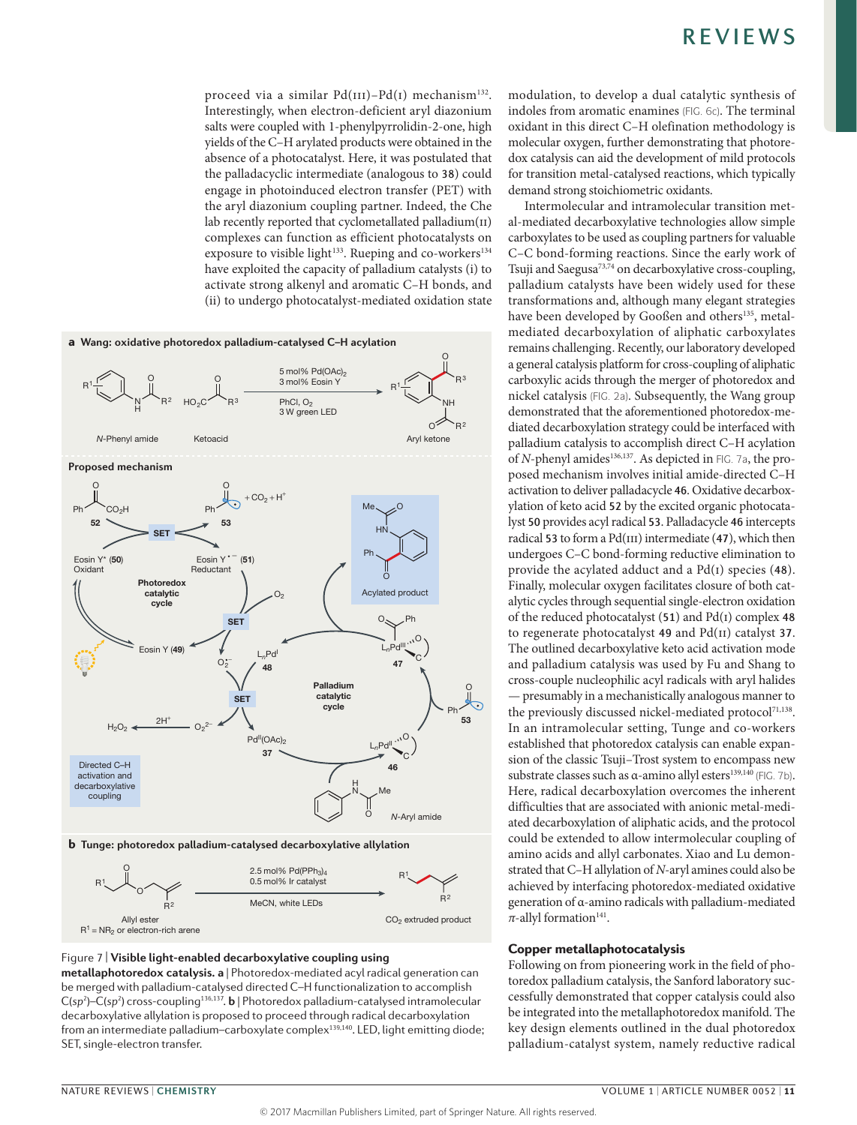proceed via a similar  $Pd(III)-Pd(I)$  mechanism<sup>132</sup>. Interestingly, when electron-deficient aryl diazonium salts were coupled with 1-phenylpyrrolidin-2-one, high yields of the C–H arylated products were obtained in the absence of a photocatalyst. Here, it was postulated that the palladacyclic intermediate (analogous to 38) could engage in photoinduced electron transfer (PET) with the aryl diazonium coupling partner. Indeed, the Che lab recently reported that cyclometallated palladium(II) complexes can function as efficient photocatalysts on exposure to visible light<sup>133</sup>. Rueping and co-workers<sup>134</sup> have exploited the capacity of palladium catalysts (i) to activate strong alkenyl and aromatic C–H bonds, and (ii) to undergo photocatalyst-mediated oxidation state



### **Nature Reviews** | **Chemistry** Figure 7 | **Visible light-enabled decarboxylative coupling using**

**metallaphotoredox catalysis. a** | Photoredox-mediated acyl radical generation can be merged with palladium-catalysed directed C-H functionalization to accomplish C(sp<sup>2</sup>)–C(sp<sup>2</sup>) cross-coupling<sup>136,137</sup>. **b** | Photoredox palladium-catalysed intramolecular decarboxylative allylation is proposed to proceed through radical decarboxylation from an intermediate palladium-carboxylate complex<sup>139,140</sup>. LED, light emitting diode; SET, single-electron transfer.

modulation, to develop a dual catalytic synthesis of indoles from aromatic enamines (FIG. 6c). The terminal oxidant in this direct C–H olefination methodology is molecular oxygen, further demonstrating that photoredox catalysis can aid the development of mild protocols for transition metal-catalysed reactions, which typically demand strong stoichiometric oxidants.

Intermolecular and intramolecular transition metal-mediated decarboxylative technologies allow simple carboxylates to be used as coupling partners for valuable C–C bond-forming reactions. Since the early work of Tsuji and Saegusa<sup>73,74</sup> on decarboxylative cross-coupling, palladium catalysts have been widely used for these transformations and, although many elegant strategies have been developed by Gooßen and others<sup>135</sup>, metalmediated decarboxylation of aliphatic carboxylates remains challenging. Recently, our laboratory developed a general catalysis platform for cross-coupling of aliphatic carboxylic acids through the merger of photoredox and nickel catalysis (FIG. 2a). Subsequently, the Wang group demonstrated that the aforementioned photoredox-mediated decarboxylation strategy could be interfaced with palladium catalysis to accomplish direct C–H acylation of *N*-phenyl amides<sup>136,137</sup>. As depicted in FIG. 7a, the proposed mechanism involves initial amide-directed C–H activation to deliver palladacycle 46. Oxidative decarboxylation of keto acid 52 by the excited organic photocatalyst 50 provides acyl radical 53. Palladacycle 46 intercepts radical 53 to form a  $Pd(III)$  intermediate (47), which then undergoes C–C bond-forming reductive elimination to provide the acylated adduct and a  $Pd(i)$  species (48). Finally, molecular oxygen facilitates closure of both catalytic cycles through sequential single-electron oxidation of the reduced photocatalyst  $(51)$  and Pd(I) complex 48 to regenerate photocatalyst 49 and Pd(ii) catalyst 37. The outlined decarboxylative keto acid activation mode and palladium catalysis was used by Fu and Shang to cross-couple nucleophilic acyl radicals with aryl halides — presumably in a mechanistically analogous manner to the previously discussed nickel-mediated protocol<sup>71,138</sup>. In an intramolecular setting, Tunge and co-workers established that photoredox catalysis can enable expansion of the classic Tsuji–Trost system to encompass new substrate classes such as  $\alpha$ -amino allyl esters<sup>139,140</sup> (FIG. 7b). Here, radical decarboxylation overcomes the inherent difficulties that are associated with anionic metal-mediated decarboxylation of aliphatic acids, and the protocol could be extended to allow intermolecular coupling of amino acids and allyl carbonates. Xiao and Lu demonstrated that C–H allylation of *N*-aryl amines could also be achieved by interfacing photoredox-mediated oxidative generation of α-amino radicals with palladium-mediated  $\pi$ -allyl formation<sup>141</sup>.

### Copper metallaphotocatalysis

Following on from pioneering work in the field of photoredox palladium catalysis, the Sanford laboratory successfully demonstrated that copper catalysis could also be integrated into the metallaphotoredox manifold. The key design elements outlined in the dual photoredox palladium-catalyst system, namely reductive radical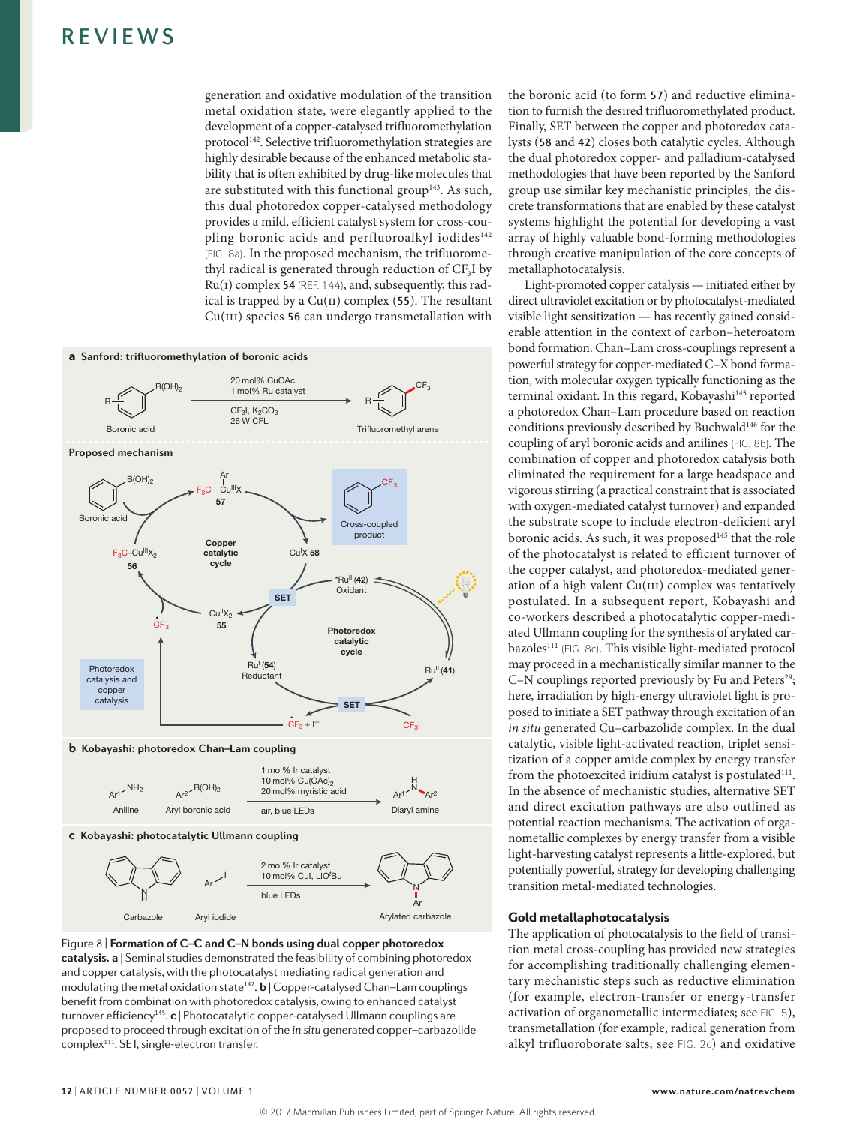generation and oxidative modulation of the transition metal oxidation state, were elegantly applied to the development of a copper-catalysed trifluoromethylation protocol142. Selective trifluoromethylation strategies are highly desirable because of the enhanced metabolic stability that is often exhibited by drug-like molecules that are substituted with this functional group<sup>143</sup>. As such, this dual photoredox copper-catalysed methodology provides a mild, efficient catalyst system for cross-coupling boronic acids and perfluoroalkyl iodides<sup>142</sup> (FIG. 8a). In the proposed mechanism, the trifluoromethyl radical is generated through reduction of  $CF<sub>3</sub>I$  by Ru(i) complex 54 (REF. 144), and, subsequently, this radical is trapped by a  $Cu(II)$  complex (55). The resultant  $Cu(III)$  species 56 can undergo transmetallation with





the boronic acid (to form 57) and reductive elimination to furnish the desired trifluoromethylated product. Finally, SET between the copper and photoredox catalysts (58 and 42) closes both catalytic cycles. Although the dual photoredox copper- and palladium-catalysed methodologies that have been reported by the Sanford group use similar key mechanistic principles, the discrete transformations that are enabled by these catalyst systems highlight the potential for developing a vast array of highly valuable bond-forming methodologies through creative manipulation of the core concepts of metallaphotocatalysis.

Light-promoted copper catalysis — initiated either by direct ultraviolet excitation or by photocatalyst-mediated visible light sensitization — has recently gained considerable attention in the context of carbon–heteroatom bond formation. Chan–Lam cross-couplings represent a powerful strategy for copper-mediated C–X bond formation, with molecular oxygen typically functioning as the terminal oxidant. In this regard, Kobayashi<sup>145</sup> reported a photoredox Chan–Lam procedure based on reaction conditions previously described by Buchwald<sup>146</sup> for the coupling of aryl boronic acids and anilines (FIG. 8b). The combination of copper and photoredox catalysis both eliminated the requirement for a large headspace and vigorous stirring (a practical constraint that is associated with oxygen-mediated catalyst turnover) and expanded the substrate scope to include electron-deficient aryl boronic acids. As such, it was proposed<sup>145</sup> that the role of the photocatalyst is related to efficient turnover of the copper catalyst, and photoredox-mediated generation of a high valent  $Cu(III)$  complex was tentatively postulated. In a subsequent report, Kobayashi and co-workers described a photocatalytic copper-mediated Ullmann coupling for the synthesis of arylated carbazoles<sup>111</sup> (FIG. 8c). This visible light-mediated protocol may proceed in a mechanistically similar manner to the C–N couplings reported previously by Fu and Peters<sup>29</sup>; here, irradiation by high-energy ultraviolet light is proposed to initiate a SET pathway through excitation of an *in situ* generated Cu–carbazolide complex. In the dual catalytic, visible light-activated reaction, triplet sensitization of a copper amide complex by energy transfer from the photoexcited iridium catalyst is postulated $111$ . In the absence of mechanistic studies, alternative SET and direct excitation pathways are also outlined as potential reaction mechanisms. The activation of organometallic complexes by energy transfer from a visible light-harvesting catalyst represents a little-explored, but potentially powerful, strategy for developing challenging transition metal-mediated technologies.

### Gold metallaphotocatalysis

The application of photocatalysis to the field of transition metal cross-coupling has provided new strategies for accomplishing traditionally challenging elementary mechanistic steps such as reductive elimination (for example, electron-transfer or energy-transfer activation of organometallic intermediates; see FIG. 5), transmetallation (for example, radical generation from alkyl trifluoroborate salts; see FIG. 2c) and oxidative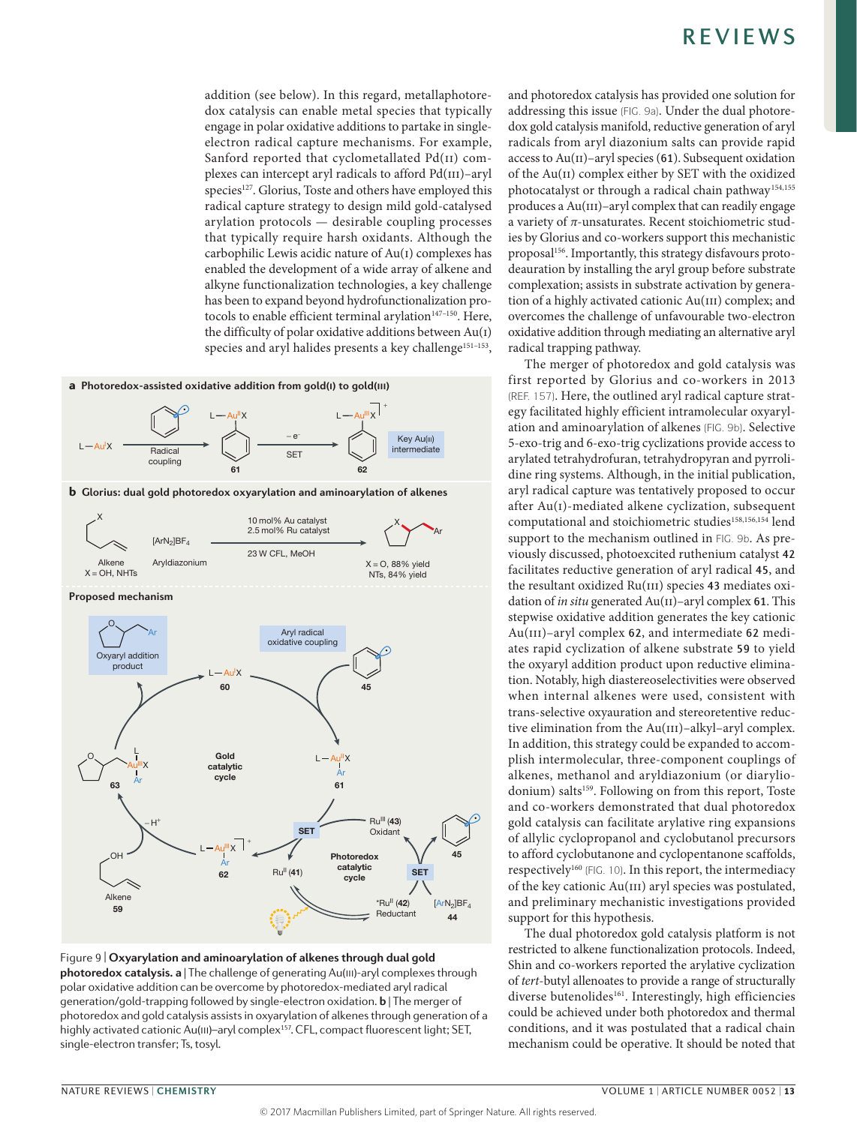addition (see below). In this regard, metallaphotoredox catalysis can enable metal species that typically engage in polar oxidative additions to partake in singleelectron radical capture mechanisms. For example, Sanford reported that cyclometallated Pd(II) complexes can intercept aryl radicals to afford Pd(iii)–aryl species<sup>127</sup>. Glorius, Toste and others have employed this radical capture strategy to design mild gold-catalysed arylation protocols — desirable coupling processes that typically require harsh oxidants. Although the carbophilic Lewis acidic nature of Au(i) complexes has enabled the development of a wide array of alkene and alkyne functionalization technologies, a key challenge has been to expand beyond hydrofunctionalization protocols to enable efficient terminal arylation<sup>147-150</sup>. Here, the difficulty of polar oxidative additions between Au(i) species and aryl halides presents a key challenge<sup>151-153</sup>,



**Nature Reviews** | **Chemistry** Figure 9 | **Oxyarylation and aminoarylation of alkenes through dual gold photoredox catalysis. a** | The challenge of generating Au(iii)-aryl complexes through polar oxidative addition can be overcome by photoredox-mediated aryl radical generation/gold-trapping followed by single-electron oxidation. **b** | The merger of photoredox and gold catalysis assists in oxyarylation of alkenes through generation of a highly activated cationic Au(III)-aryl complex<sup>157</sup>. CFL, compact fluorescent light; SET, single-electron transfer; Ts, tosyl.

and photoredox catalysis has provided one solution for addressing this issue (FIG. 9a). Under the dual photoredox gold catalysis manifold, reductive generation of aryl radicals from aryl diazonium salts can provide rapid access to  $Au(II)$ –aryl species (61). Subsequent oxidation of the Au(ii) complex either by SET with the oxidized photocatalyst or through a radical chain pathway<sup>154,155</sup> produces a Au(iii)–aryl complex that can readily engage a variety of *π*-unsaturates. Recent stoichiometric studies by Glorius and co-workers support this mechanistic proposal<sup>156</sup>. Importantly, this strategy disfavours protodeauration by installing the aryl group before substrate complexation; assists in substrate activation by generation of a highly activated cationic Au(III) complex; and overcomes the challenge of unfavourable two-electron oxidative addition through mediating an alternative aryl radical trapping pathway.

The merger of photoredox and gold catalysis was first reported by Glorius and co-workers in 2013 (REF. 157). Here, the outlined aryl radical capture strategy facilitated highly efficient intramolecular oxyarylation and aminoarylation of alkenes (FIG. 9b). Selective 5-exo-trig and 6-exo-trig cyclizations provide access to arylated tetrahydrofuran, tetrahydropyran and pyrrolidine ring systems. Although, in the initial publication, aryl radical capture was tentatively proposed to occur after Au(i)-mediated alkene cyclization, subsequent computational and stoichiometric studies<sup>158,156,154</sup> lend support to the mechanism outlined in FIG. 9b. As previously discussed, photoexcited ruthenium catalyst 42 facilitates reductive generation of aryl radical 45, and the resultant oxidized Ru(III) species 43 mediates oxidation of *in situ* generated Au(II)–aryl complex 61. This stepwise oxidative addition generates the key cationic Au(III)–aryl complex 62, and intermediate 62 mediates rapid cyclization of alkene substrate 59 to yield the oxyaryl addition product upon reductive elimination. Notably, high diastereoselectivities were observed when internal alkenes were used, consistent with trans-selective oxyauration and stereoretentive reductive elimination from the Au(III)–alkyl–aryl complex. In addition, this strategy could be expanded to accomplish intermolecular, three-component couplings of alkenes, methanol and aryldiazonium (or diaryliodonium) salts<sup>159</sup>. Following on from this report, Toste and co-workers demonstrated that dual photoredox gold catalysis can facilitate arylative ring expansions of allylic cyclopropanol and cyclobutanol precursors to afford cyclobutanone and cyclopentanone scaffolds, respectively<sup>160</sup> (FIG. 10). In this report, the intermediacy of the key cationic Au(III) aryl species was postulated, and preliminary mechanistic investigations provided support for this hypothesis.

The dual photoredox gold catalysis platform is not restricted to alkene functionalization protocols. Indeed, Shin and co-workers reported the arylative cyclization of *tert*-butyl allenoates to provide a range of structurally diverse butenolides<sup>161</sup>. Interestingly, high efficiencies could be achieved under both photoredox and thermal conditions, and it was postulated that a radical chain mechanism could be operative. It should be noted that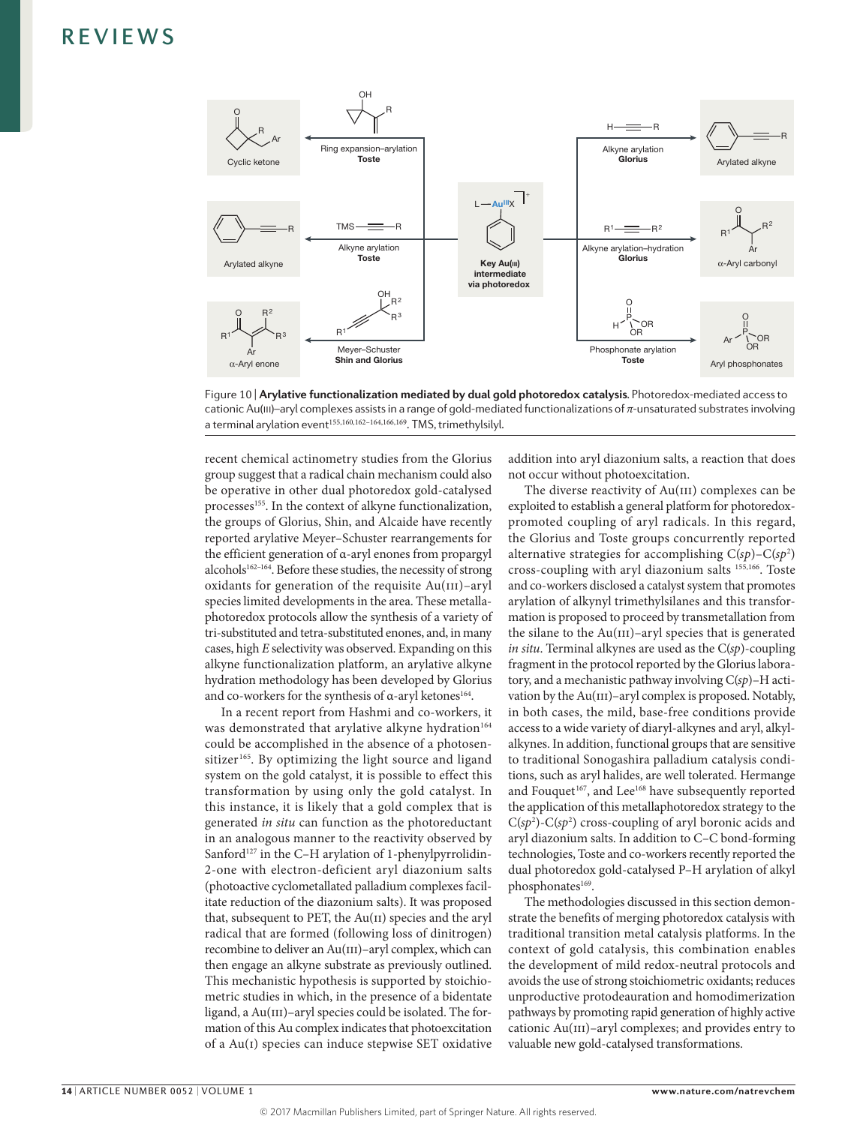

Figure 10 | Arylative functionalization mediated by dual gold photoredox catalysis. Photoredox-mediated access to cationic Au(III)-aryl complexes assists in a range of gold-mediated functionalizations of  $\pi$ -unsaturated substrates involving a terminal arylation event<sup>155,160,162-164,166,169</sup>. TMS, trimethylsilyl.

recent chemical actinometry studies from the Glorius group suggest that a radical chain mechanism could also be operative in other dual photoredox gold-catalysed processes<sup>155</sup>. In the context of alkyne functionalization, the groups of Glorius, Shin, and Alcaide have recently reported arylative Meyer–Schuster rearrangements for the efficient generation of α-aryl enones from propargyl alcohols<sup>162-164</sup>. Before these studies, the necessity of strong oxidants for generation of the requisite  $Au(III)$ –aryl species limited developments in the area. These metallaphotoredox protocols allow the synthesis of a variety of tri-substituted and tetra-substituted enones, and, in many cases, high *E* selectivity was observed. Expanding on this alkyne functionalization platform, an arylative alkyne hydration methodology has been developed by Glorius and co-workers for the synthesis of α-aryl ketones<sup>164</sup>.

In a recent report from Hashmi and co-workers, it was demonstrated that arylative alkyne hydration<sup>164</sup> could be accomplished in the absence of a photosensitizer<sup>165</sup>. By optimizing the light source and ligand system on the gold catalyst, it is possible to effect this transformation by using only the gold catalyst. In this instance, it is likely that a gold complex that is generated *in situ* can function as the photoreductant in an analogous manner to the reactivity observed by Sanford $127$  in the C–H arylation of 1-phenylpyrrolidin-2-one with electron-deficient aryl diazonium salts (photoactive cyclometallated palladium complexes facilitate reduction of the diazonium salts). It was proposed that, subsequent to PET, the  $Au(II)$  species and the aryl radical that are formed (following loss of dinitrogen) recombine to deliver an Au(III)–aryl complex, which can then engage an alkyne substrate as previously outlined. This mechanistic hypothesis is supported by stoichiometric studies in which, in the presence of a bidentate ligand, a  $Au(III)$ –aryl species could be isolated. The formation of this Au complex indicates that photoexcitation of a Au(i) species can induce stepwise SET oxidative addition into aryl diazonium salts, a reaction that does not occur without photoexcitation.

The diverse reactivity of  $Au(III)$  complexes can be exploited to establish a general platform for photoredoxpromoted coupling of aryl radicals. In this regard, the Glorius and Toste groups concurrently reported alternative strategies for accomplishing C(*sp*)–C(*sp*<sup>2</sup> ) cross-coupling with aryl diazonium salts 155,166. Toste and co-workers disclosed a catalyst system that promotes arylation of alkynyl trimethylsilanes and this transformation is proposed to proceed by transmetallation from the silane to the  $Au(III)$ –aryl species that is generated *in situ*. Terminal alkynes are used as the C(*sp*)-coupling fragment in the protocol reported by the Glorius laboratory, and a mechanistic pathway involving C(*sp*)–H activation by the Au(III)–aryl complex is proposed. Notably, in both cases, the mild, base-free conditions provide access to a wide variety of diaryl-alkynes and aryl, alkylalkynes. In addition, functional groups that are sensitive to traditional Sonogashira palladium catalysis conditions, such as aryl halides, are well tolerated. Hermange and Fouquet<sup>167</sup>, and Lee<sup>168</sup> have subsequently reported the application of this metallaphotoredox strategy to the  $C(sp^2)$ - $C(sp^2)$  cross-coupling of aryl boronic acids and aryl diazonium salts. In addition to C–C bond-forming technologies, Toste and co-workers recently reported the dual photoredox gold-catalysed P–H arylation of alkyl phosphonates<sup>169</sup>.

The methodologies discussed in this section demonstrate the benefits of merging photoredox catalysis with traditional transition metal catalysis platforms. In the context of gold catalysis, this combination enables the development of mild redox-neutral protocols and avoids the use of strong stoichiometric oxidants; reduces unproductive protodeauration and homodimerization pathways by promoting rapid generation of highly active cationic Au(III)–aryl complexes; and provides entry to valuable new gold-catalysed transformations.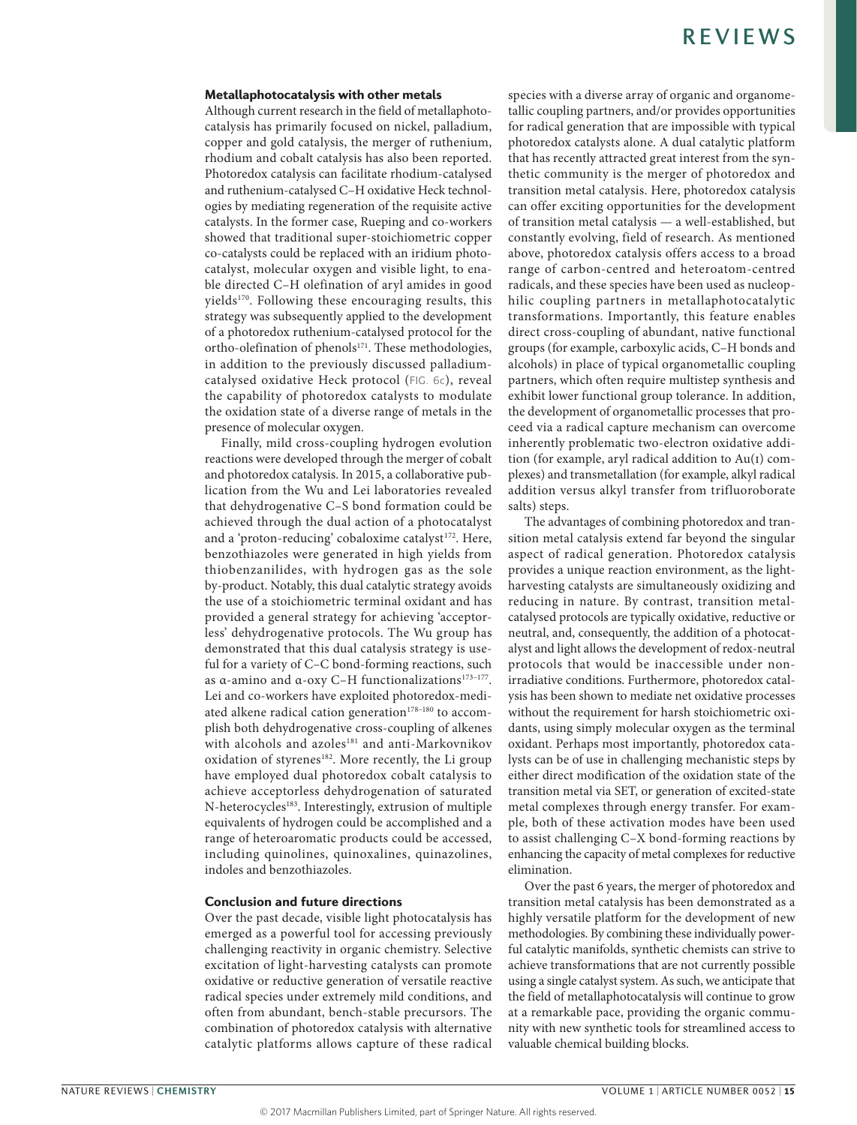#### Metallaphotocatalysis with other metals

Although current research in the field of metallaphotocatalysis has primarily focused on nickel, palladium, copper and gold catalysis, the merger of ruthenium, rhodium and cobalt catalysis has also been reported. Photoredox catalysis can facilitate rhodium-catalysed and ruthenium-catalysed C–H oxidative Heck technologies by mediating regeneration of the requisite active catalysts. In the former case, Rueping and co-workers showed that traditional super-stoichiometric copper co-catalysts could be replaced with an iridium photocatalyst, molecular oxygen and visible light, to enable directed C–H olefination of aryl amides in good yields<sup>170</sup>. Following these encouraging results, this strategy was subsequently applied to the development of a photoredox ruthenium-catalysed protocol for the ortho-olefination of phenols<sup>171</sup>. These methodologies, in addition to the previously discussed palladiumcatalysed oxidative Heck protocol (FIG. 6c), reveal the capability of photoredox catalysts to modulate the oxidation state of a diverse range of metals in the presence of molecular oxygen.

Finally, mild cross-coupling hydrogen evolution reactions were developed through the merger of cobalt and photoredox catalysis. In 2015, a collaborative publication from the Wu and Lei laboratories revealed that dehydrogenative C–S bond formation could be achieved through the dual action of a photocatalyst and a 'proton-reducing' cobaloxime catalyst<sup>172</sup>. Here, benzothiazoles were generated in high yields from thiobenzanilides, with hydrogen gas as the sole by-product. Notably, this dual catalytic strategy avoids the use of a stoichiometric terminal oxidant and has provided a general strategy for achieving 'acceptorless' dehydrogenative protocols. The Wu group has demonstrated that this dual catalysis strategy is useful for a variety of C–C bond-forming reactions, such as α-amino and α-oxy C-H functionalizations<sup>173-177</sup>. Lei and co-workers have exploited photoredox-mediated alkene radical cation generation<sup>178-180</sup> to accomplish both dehydrogenative cross-coupling of alkenes with alcohols and azoles<sup>181</sup> and anti-Markovnikov oxidation of styrenes<sup>182</sup>. More recently, the Li group have employed dual photoredox cobalt catalysis to achieve acceptorless dehydrogenation of saturated N-heterocycles<sup>183</sup>. Interestingly, extrusion of multiple equivalents of hydrogen could be accomplished and a range of heteroaromatic products could be accessed, including quinolines, quinoxalines, quinazolines, indoles and benzothiazoles.

### Conclusion and future directions

Over the past decade, visible light photocatalysis has emerged as a powerful tool for accessing previously challenging reactivity in organic chemistry. Selective excitation of light-harvesting catalysts can promote oxidative or reductive generation of versatile reactive radical species under extremely mild conditions, and often from abundant, bench-stable precursors. The combination of photoredox catalysis with alternative catalytic platforms allows capture of these radical species with a diverse array of organic and organometallic coupling partners, and/or provides opportunities for radical generation that are impossible with typical photoredox catalysts alone. A dual catalytic platform that has recently attracted great interest from the synthetic community is the merger of photoredox and transition metal catalysis. Here, photoredox catalysis can offer exciting opportunities for the development of transition metal catalysis — a well-established, but constantly evolving, field of research. As mentioned above, photoredox catalysis offers access to a broad range of carbon-centred and heteroatom-centred radicals, and these species have been used as nucleophilic coupling partners in metallaphotocatalytic transformations. Importantly, this feature enables direct cross-coupling of abundant, native functional groups (for example, carboxylic acids, C–H bonds and alcohols) in place of typical organometallic coupling partners, which often require multistep synthesis and exhibit lower functional group tolerance. In addition, the development of organometallic processes that proceed via a radical capture mechanism can overcome inherently problematic two-electron oxidative addition (for example, aryl radical addition to Au(i) complexes) and transmetallation (for example, alkyl radical addition versus alkyl transfer from trifluoroborate salts) steps.

The advantages of combining photoredox and transition metal catalysis extend far beyond the singular aspect of radical generation. Photoredox catalysis provides a unique reaction environment, as the lightharvesting catalysts are simultaneously oxidizing and reducing in nature. By contrast, transition metalcatalysed protocols are typically oxidative, reductive or neutral, and, consequently, the addition of a photocatalyst and light allows the development of redox-neutral protocols that would be inaccessible under nonirradiative conditions. Furthermore, photoredox catalysis has been shown to mediate net oxidative processes without the requirement for harsh stoichiometric oxidants, using simply molecular oxygen as the terminal oxidant. Perhaps most importantly, photoredox catalysts can be of use in challenging mechanistic steps by either direct modification of the oxidation state of the transition metal via SET, or generation of excited-state metal complexes through energy transfer. For example, both of these activation modes have been used to assist challenging C–X bond-forming reactions by enhancing the capacity of metal complexes for reductive elimination.

Over the past 6 years, the merger of photoredox and transition metal catalysis has been demonstrated as a highly versatile platform for the development of new methodologies. By combining these individually powerful catalytic manifolds, synthetic chemists can strive to achieve transformations that are not currently possible using a single catalyst system. As such, we anticipate that the field of metallaphotocatalysis will continue to grow at a remarkable pace, providing the organic community with new synthetic tools for streamlined access to valuable chemical building blocks.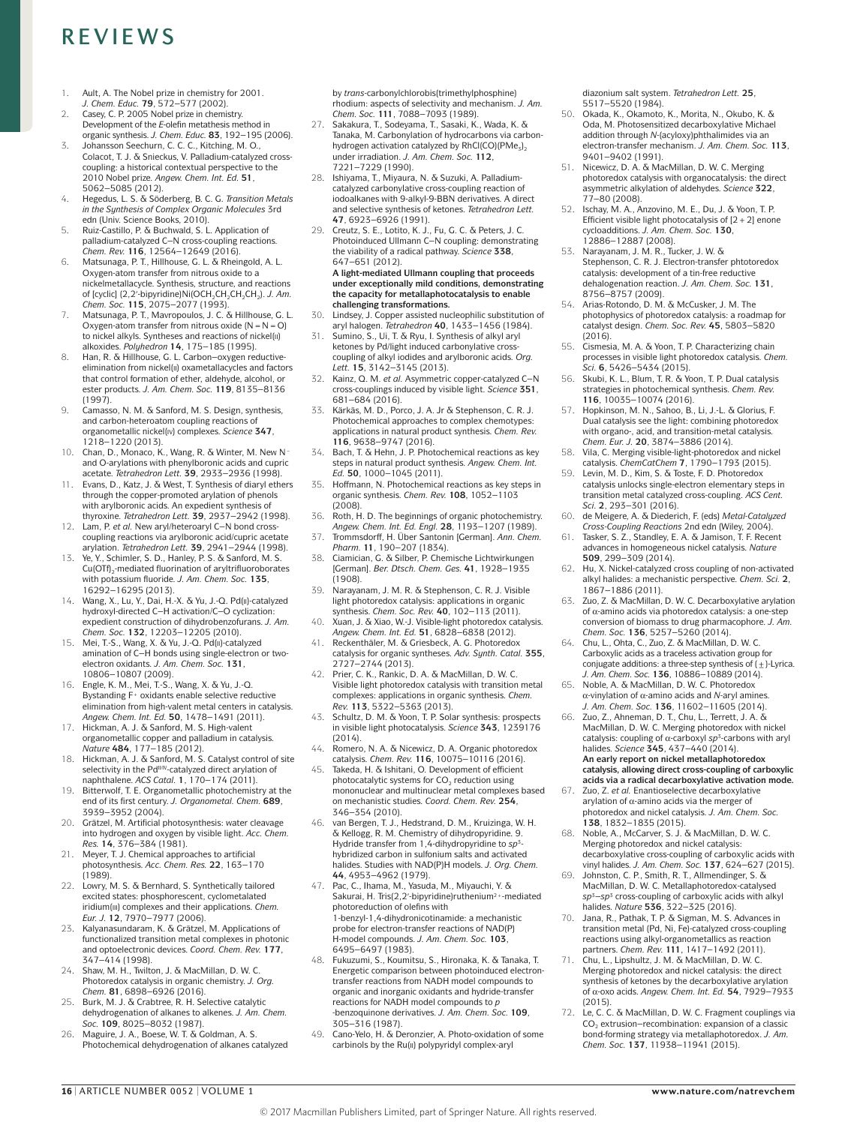- 1. Ault, A. The Nobel prize in chemistry for 2001. *J. Chem. Educ.* **79**, 572–577 (2002).
- 2. Casey, C. P. 2005 Nobel prize in chemistry. Development of the *E*‑olefin metathesis method in organic synthesis. *J. Chem. Educ.* **83**, 192–195 (2006).
- 3. Johansson Seechurn, C. C. C., Kitching, M. O., Colacot, T. J. & Snieckus, V. Palladium-catalyzed crosscoupling: a historical contextual perspective to the 2010 Nobel prize. *Angew. Chem. Int. Ed.* **51**, 5062–5085 (2012).
- 4. Hegedus, L. S. & Söderberg, B. C. G. *Transition Metals in the Synthesis of Complex Organic Molecules* 3rd edn (Univ. Science Books, 2010).
- 5. Ruiz-Castillo, P. & Buchwald, S. L. Application of palladium-catalyzed C–N cross-coupling reactions. *Chem. Rev.* **116**, 12564–12649 (2016).
- Matsunaga, P. T., Hillhouse, G. L. & Rheingold, A. L. Oxygen-atom transfer from nitrous oxide to a nickelmetallacycle. Synthesis, structure, and reactions of [cyclic] (2,2′-bipyridine)Ni(OCH<sub>2</sub>CH<sub>2</sub>CH<sub>2</sub>CH<sub>2</sub>). *J. Am.*<br>*Chem. Soc.* **115**, 2075–2077 (1993).
- 7. Matsunaga, P. T., Mavropoulos, J. C. & Hillhouse, G. L. Oxygen-atom transfer from nitrous oxide  $(N = N = O)$ to nickel alkyls. Syntheses and reactions of nickel(ii) alkoxides. *Polyhedron* **14**, 175–185 (1995).
- 8. Han, R. & Hillhouse, G. L. Carbon–oxygen reductive-elimination from nickel(ii) oxametallacycles and factors that control formation of ether, aldehyde, alcohol, or ester products. *J. Am. Chem. Soc.* **119**, 8135–8136 (1997).
- 9. Camasso, N. M. & Sanford, M. S. Design, synthesis, and carbon-heteroatom coupling reactions of organometallic nickel(iv) complexes. *Science* **347**, 1218–1220 (2013).
- 10. Chan, D., Monaco, K., Wang, R. & Winter, M. New N− and O‑arylations with phenylboronic acids and cupric acetate. *Tetrahedron Lett.* **39**, 2933–2936 (1998).
- 11. Evans, D., Katz, J. & West, T. Synthesis of diaryl ethers through the copper-promoted arylation of phenols with arylboronic acids. An expedient synthesis of thyroxine. *Tetrahedron Lett.* **39**, 2937–2942 (1998).
- 12. Lam, P. *et al.* New aryl/heteroaryl C–N bond cross-coupling reactions via arylboronic acid/cupric acetate arylation. *Tetrahedron Lett.* **39**, 2941–2944 (1998).
- Ye, Y., Schimler, S. D., Hanley, P. S. & Sanford, M. S. Cu(OTf)<sub>2</sub>-mediated fluorination of aryltrifluoroborates with potassium fluoride. *J. Am. Chem. Soc.* **135**, 16292–16295 (2013).
- 14. Wang, X., Lu, Y., Dai, H.‑X. & Yu, J.‑Q. Pd(ii)-catalyzed hydroxyl-directed C–H activation/C–O cyclization: expedient construction of dihydrobenzofurans. *J. Am. Chem. Soc.* **132**, 12203–12205 (2010).
- 15. Mei, T.-S., Wang, X. & Yu, J.-Q. Pd(ii)-catalyzed amination of C-H bonds using single-electron or twoelectron oxidants. *J. Am. Chem. Soc.* **131**, 10806–10807 (2009).
- 16. Engle, K. M., Mei, T.‑S., Wang, X. & Yu, J.‑Q. Bystanding F+ oxidants enable selective reductive elimination from high-valent metal centers in catalysis. *Angew. Chem. Int. Ed.* **50**, 1478–1491 (2011).
- 17. Hickman, A. J. & Sanford, M. S. High-valent organometallic copper and palladium in catalysis. *Nature* **484**, 177–185 (2012).
- 18. Hickman, A. J. & Sanford, M. S. Catalyst control of site selectivity in the Pd<sup>II/IV</sup>-catalyzed direct arylation of naphthalene. *ACS Catal.* **1**, 170–174 (2011).
- 19. Bitterwolf, T. E. Organometallic photochemistry at the end of its first century. *J. Organometal. Chem.* **689**, 3939–3952 (2004).
- 20. Grätzel, M. Artificial photosynthesis: water cleavage into hydrogen and oxygen by visible light. *Acc. Chem. Res.* **14**, 376–384 (1981).
- 21. Meyer, T. J. Chemical approaches to artificial photosynthesis. *Acc. Chem. Res.* **22**, 163–170 (1989).
- 22. Lowry, M. S. & Bernhard, S. Synthetically tailored excited states: phosphorescent, cyclometalated iridium(iii) complexes and their applications. *Chem. Eur. J.* **12**, 7970–7977 (2006).
- 23. Kalyanasundaram, K. & Grätzel, M. Applications of functionalized transition metal complexes in photonic and optoelectronic devices. *Coord. Chem. Rev.* **177**, 347–414 (1998).
- Shaw, M. H., Twilton, J. & MacMillan, D. W. C. Photoredox catalysis in organic chemistry. *J. Org. Chem.* **81**, 6898–6926 (2016).
- 25. Burk, M. J. & Crabtree, R. H. Selective catalytic dehydrogenation of alkanes to alkenes. *J. Am. Chem. Soc.* **109**, 8025–8032 (1987).
- 26. Maguire, J. A., Boese, W. T. & Goldman, A. S. Photochemical dehydrogenation of alkanes catalyzed

by *trans*-carbonylchlorobis(trimethylphosphine) rhodium: aspects of selectivity and mechanism. *J. Am. Chem. Soc.* **111**, 7088–7093 (1989).

- 27. Sakakura, T., Sodeyama, T., Sasaki, K., Wada, K. & Tanaka, M. Carbonylation of hydrocarbons via carbonhydrogen activation catalyzed by RhCl(CO)( $PMe<sub>3</sub>$ )<sub>2</sub>)<sup>2</sup> under irradiation. *J. Am. Chem. Soc.* **112**, 7221–7229 (1990).
- 28. Ishiyama, T., Miyaura, N. & Suzuki, A. Palladiumcatalyzed carbonylative cross-coupling reaction of iodoalkanes with 9‑alkyl‑9‑BBN derivatives. A direct and selective synthesis of ketones. *Tetrahedron Lett.*  **47**, 6923–6926 (1991).
- 29. Creutz, S. E., Lotito, K. J., Fu, G. C. & Peters, J. C. Photoinduced Ullmann C–N coupling: demonstrating the viability of a radical pathway. *Science* **338**, 647–651 (2012).

**A light-mediated Ullmann coupling that proceeds under exceptionally mild conditions, demonstrating the capacity for metallaphotocatalysis to enable challenging transformations.**

- 30. Lindsey, J. Copper assisted nucleophilic substitution of aryl halogen. *Tetrahedron* **40**, 1433–1456 (1984).
- Sumino, S., Ui, T. & Ryu, I. Synthesis of alkyl aryl ketones by Pd/light induced carbonylative crosscoupling of alkyl iodides and arylboronic acids. *Org. Lett.* **15**, 3142–3145 (2013).
- Kainz, Q. M. *et al.* Asymmetric copper-catalyzed C-N cross-couplings induced by visible light. *Science* **351**, 681–684 (2016).
- 33. Kärkäs, M. D., Porco, J. A. Jr & Stephenson, C. R. J. Photochemical approaches to complex chemotypes: applications in natural product synthesis. *Chem. Rev.*  **116**, 9638–9747 (2016).
- 34. Bach, T. & Hehn, J. P. Photochemical reactions as key steps in natural product synthesis. *Angew. Chem. Int. Ed.* **50**, 1000–1045 (2011).
- 35. Hoffmann, N. Photochemical reactions as key steps in organic synthesis. *Chem. Rev.* **108**, 1052–1103  $(2008)$
- 36. Roth, H. D. The beginnings of organic photochemistry.
- *Angew. Chem. Int. Ed. Engl.* **28**, 1193–1207 (1989). 37. Trommsdorff, H. Über Santonin [German]. *Ann. Chem. Pharm.* **11**, 190–207 (1834).
- 38. Ciamician, G. & Silber, P. Chemische Lichtwirkungen [German]. *Ber. Dtsch. Chem. Ges.* **41**, 1928–1935 (1908).
- 39. Narayanam, J. M. R. & Stephenson, C. R. J. Visible light photoredox catalysis: applications in organic synthesis. *Chem. Soc. Rev.* **40**, 102–113 (2011).
- Xuan, J. & Xiao, W.-J. Visible-light photoredox catalysis *Angew. Chem. Int. Ed.* **51**, 6828–6838 (2012).
- 41. Reckenthäler, M. & Griesbeck, A. G. Photoredox catalysis for organic syntheses. *Adv. Synth. Catal.* **355**, 2727–2744 (2013).
- Prier, C. K., Rankic, D. A. & MacMillan, D. W. C. Visible light photoredox catalysis with transition metal complexes: applications in organic synthesis. *Chem. Rev.* **113**, 5322–5363 (2013).
- 43. Schultz, D. M. & Yoon, T. P. Solar synthesis: prospects in visible light photocatalysis. *Science* **343**, 1239176 (2014).
- 44. Romero, N. A. & Nicewicz, D. A. Organic photoredox
- catalysis. *Chem. Rev.* **116**, 10075–10116 (2016). 45. Takeda, H. & Ishitani, O. Development of efficient photocatalytic systems for  $CO<sub>2</sub>$  reduction using mononuclear and multinuclear metal complexes based on mechanistic studies. *Coord. Chem. Rev.* **254**,
- 346–354 (2010). 46. van Bergen, T. J., Hedstrand, D. M., Kruizinga, W. H. & Kellogg, R. M. Chemistry of dihydropyridine. 9. Hydride transfer from 1,4‑dihydropyridine to *sp*3hybridized carbon in sulfonium salts and activated halides. Studies with NAD(P)H models. *J. Org. Chem.*  **44**, 4953–4962 (1979).
- 47. Pac, C., Ihama, M., Yasuda, M., Miyauchi, Y. & Sakurai, H. Tris(2,2ʹ‑bipyridine)ruthenium2+-mediated photoreduction of olefins with 1‑benzyl‑1,4‑dihydronicotinamide: a mechanistic probe for electron-transfer reactions of NAD(P) H‑model compounds. *J. Am. Chem. Soc.* **103**, 6495–6497 (1983).
- 48. Fukuzumi, S., Koumitsu, S., Hironaka, K. & Tanaka, T. Energetic comparison between photoinduced electrontransfer reactions from NADH model compounds to organic and inorganic oxidants and hydride-transfer reactions for NADH model compounds to *p* ‑benzoquinone derivatives. *J. Am. Chem. Soc.* **109**, 305–316 (1987).
- 49. Cano-Yelo, H. & Deronzier, A. Photo-oxidation of some carbinols by the Ru(ii) polypyridyl complex-aryl

diazonium salt system. *Tetrahedron Lett.* **25**, 5517–5520 (1984).

- 50. Okada, K., Okamoto, K., Morita, N., Okubo, K. & Oda, M. Photosensitized decarboxylative Michael addition through *N*-(acyloxy)phthalimides via an electron-transfer mechanism. *J. Am. Chem. Soc.* **113**, 9401–9402 (1991).
- 51. Nicewicz, D. A. & MacMillan, D. W. C. Merging photoredox catalysis with organocatalysis: the direct asymmetric alkylation of aldehydes. *Science* **322**, 77–80 (2008).
- 52. Ischay, M. A., Anzovino, M. E., Du, J. & Yoon, T. P. Efficient visible light photocatalysis of  $[2+2]$  enone cycloadditions. *J. Am. Chem. Soc.* **130**, 12886–12887 (2008).
- 53. Narayanam, J. M. R., Tucker, J. W. & Stephenson, C. R. J. Electron-transfer phtotoredox catalysis: development of a tin-free reductive dehalogenation reaction. *J. Am. Chem. Soc.* **131**, 8756–8757 (2009).
- 54. Arias-Rotondo, D. M. & McCusker, J. M. The photophysics of photoredox catalysis: a roadmap for catalyst design. *Chem. Soc. Rev.* **45**, 5803–5820  $(2016)$
- 55. Cismesia, M. A. & Yoon, T. P. Characterizing chain processes in visible light photoredox catalysis. *Chem. Sci.* **6**, 5426–5434 (2015).
- 56. Skubi, K. L., Blum, T. R. & Yoon, T. P. Dual catalysis strategies in photochemical synthesis. *Chem. Rev.*  **116**, 10035–10074 (2016).
- 57. Hopkinson, M. N., Sahoo, B., Li, J.‑L. & Glorius, F. Dual catalysis see the light: combining photoredox with organo-, acid, and transition-metal catalysis. *Chem. Eur. J.* **20**, 3874–3886 (2014).
- 58. Vila, C. Merging visible-light-photoredox and nickel catalysis. *ChemCatChem* **7**, 1790–1793 (2015).
- 59. Levin, M. D., Kim, S. & Toste, F. D. Photoredox catalysis unlocks single-electron elementary steps in transition metal catalyzed cross-coupling. *ACS Cent. Sci.* **2**, 293–301 (2016).
- 60. de Meigere, A. & Diederich, F. (eds) *Metal-Catalyzed*
- *Cross-Coupling Reactions* 2nd edn (Wiley, 2004). 61. Tasker, S. Z., Standley, E. A. & Jamison, T. F. Recent advances in homogeneous nickel catalysis. *Nature*  **509**, 299–309 (2014).
- 62. Hu, X. Nickel-catalyzed cross coupling of non-activated alkyl halides: a mechanistic perspective. *Chem. Sci.* **2**, 1867–1886 (2011).
- 63. Zuo, Z. & MacMillan, D. W. C. Decarboxylative arylation of α‑amino acids via photoredox catalysis: a one-step conversion of biomass to drug pharmacophore. *J. Am. Chem. Soc.* **136**, 5257–5260 (2014).
- 64. Chu, L., Ohta, C., Zuo, Z. & MacMillan, D. W. C. Carboxylic acids as a traceless activation group for conjugate additions: a three-step synthesis of  $(\pm)$ -Lyrica. *J. Am. Chem. Soc.* **136**, 10886–10889 (2014).
- 65. Noble, A. & MacMillan, D. W. C. Photoredox α‑vinylation of α‑amino acids and *N*‑aryl amines. *J. Am. Chem. Soc.* **136**, 11602–11605 (2014).
- 66. Zuo, Z., Ahneman, D. T., Chu, L., Terrett, J. A. & MacMillan, D. W. C. Merging photoredox with nickel catalysis: coupling of α‑carboxyl *sp*3‑carbons with aryl halides. *Science* **345**, 437–440 (2014). **An early report on nickel metallaphotoredox catalysis, allowing direct cross-coupling of carboxylic acids via a radical decarboxylative activation mode.**
- Zuo, Z. et al. Enantioselective decarboxylative arylation of  $\alpha$ -amino acids via the merger of photoredox and nickel catalysis. *J. Am. Chem. Soc.*  **138**, 1832–1835 (2015).
- 68. Noble, A., McCarver, S. J. & MacMillan, D. W. C. Merging photoredox and nickel catalysis: decarboxylative cross-coupling of carboxylic acids with
- vinyl halides. *J. Am. Chem. Soc.* **137**, 624–627 (2015). 69. Johnston, C. P., Smith, R. T., Allmendinger, S. & MacMillan, D. W. C. Metallaphotoredox-catalysed *sp*3–*sp*3 cross-coupling of carboxylic acids with alkyl halides. *Nature* **536**, 322–325 (2016).
- 70. Jana, R., Pathak, T. P. & Sigman, M. S. Advances in transition metal (Pd, Ni, Fe)-catalyzed cross-coupling reactions using alkyl-organometallics as reaction partners. *Chem. Rev.* **111**, 1417–1492 (2011).
- 71. Chu, L., Lipshultz, J. M. & MacMillan, D. W. C. Merging photoredox and nickel catalysis: the direct synthesis of ketones by the decarboxylative arylation of α‑oxo acids. *Angew. Chem. Int. Ed.* **54**, 7929–7933 (2015).
- 72. Le, C. C. & MacMillan, D. W. C. Fragment couplings via  $CO<sub>2</sub>$  extrusion–recombination: expansion of a classic bond-forming strategy via metallaphotoredox. *J. Am. Chem. Soc.* **137**, 11938–11941 (2015).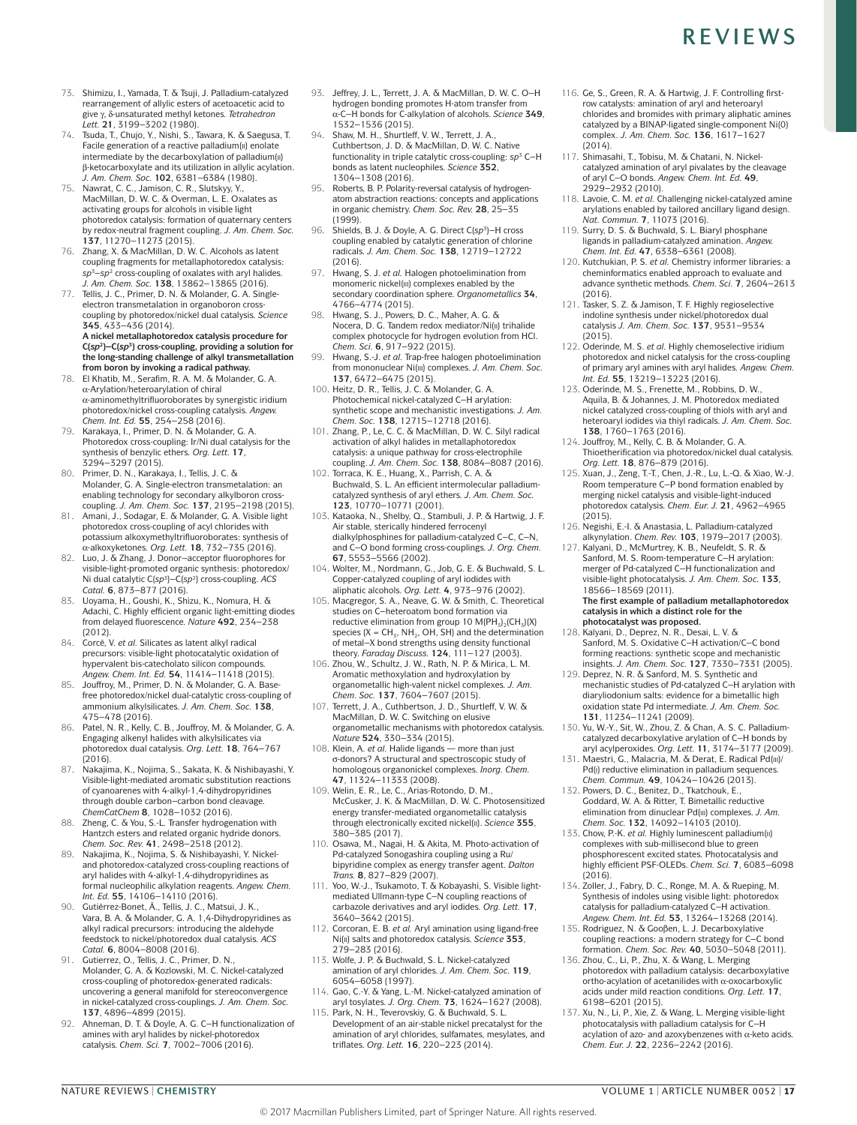- 73. Shimizu, I., Yamada, T. & Tsuji, J. Palladium-catalyzed rearrangement of allylic esters of acetoacetic acid to give γ, δ‑unsaturated methyl ketones. *Tetrahedron Lett.* **21**, 3199–3202 (1980).
- 74. Tsuda, T., Chujo, Y., Nishi, S., Tawara, K. & Saegusa, T. Facile generation of a reactive palladium(ii) enolate intermediate by the decarboxylation of palladium(ii) β‑ketocarboxylate and its utilization in allylic acylation. *J. Am. Chem. Soc.* **102**, 6381–6384 (1980).
- 75. Nawrat, C. C., Jamison, C. R., Slutskyy, Y., MacMillan, D. W. C. & Overman, L. E. Oxalates as activating groups for alcohols in visible light photoredox catalysis: formation of quaternary centers by redox-neutral fragment coupling. *J. Am. Chem. Soc.*  **137**, 11270–11273 (2015).
- 76. Zhang, X. & MacMillan, D. W. C. Alcohols as latent coupling fragments for metallaphotoredox catalysis: *sp*3–*sp*2 cross-coupling of oxalates with aryl halides. *J. Am. Chem. Soc.* **138**, 13862–13865 (2016).
- 77. Tellis, J. C., Primer, D. N. & Molander, G. A. Singleelectron transmetalation in organoboron crosscoupling by photoredox/nickel dual catalysis. *Science*  **345**, 433–436 (2014). **A nickel metallaphotoredox catalysis procedure for C(***sp***2)–C(***sp***3) cross-coupling, providing a solution for the long-standing challenge of alkyl transmetallation from boron by invoking a radical pathway.**
- 78. El Khatib, M., Serafim, R. A. M. & Molander, G. A. α‑Arylation/heteroarylation of chiral α‑aminomethyltrifluoroborates by synergistic iridium photoredox/nickel cross-coupling catalysis. *Angew. Chem. Int. Ed.* **55**, 254–258 (2016).
- 79. Karakaya, I., Primer, D. N. & Molander, G. A. Photoredox cross-coupling: Ir/Ni dual catalysis for the synthesis of benzylic ethers. *Org. Lett.* **17**, 3294–3297 (2015).
- 80. Primer, D. N., Karakaya, I., Tellis, J. C. & Molander, G. A. Single-electron transmetalation: an enabling technology for secondary alkylboron crosscoupling. *J. Am. Chem. Soc.* **137**, 2195–2198 (2015).
- 81. Amani, J., Sodagar, E. & Molander, G. A. Visible light photoredox cross-coupling of acyl chlorides with potassium alkoxymethyltrifluoroborates: synthesis of α‑alkoxyketones. *Org. Lett.* **18**, 732–735 (2016).
- 82. Luo, J. & Zhang, J. Donor–acceptor fluorophores for visible-light-promoted organic synthesis: photoredox/ Ni dual catalytic C(*sp*3)–C(*sp*2) cross-coupling. *ACS Catal.* **6**, 873–877 (2016).
- 83. Uoyama, H., Goushi, K., Shizu, K., Nomura, H. & Adachi, C. Highly efficient organic light-emitting diodes from delayed fluorescence. *Nature* **492**, 234–238 (2012).
- 84. Corcé, V. *et al.* Silicates as latent alkyl radical precursors: visible-light photocatalytic oxidation of hypervalent bis-catecholato silicon compounds. *Angew. Chem. Int. Ed.* **54**, 11414–11418 (2015).
- 85. Jouffroy, M., Primer, D. N. & Molander, G. A. Basefree photoredox/nickel dual-catalytic cross-coupling of ammonium alkylsilicates. *J. Am. Chem. Soc.* **138**, 475–478 (2016).
- Patel, N. R., Kelly, C. B., Jouffroy, M. & Molander, G. A. Engaging alkenyl halides with alkylsilicates via photoredox dual catalysis. *Org. Lett.* **18**, 764–767  $(2016)$
- 87. Nakajima, K., Nojima, S., Sakata, K. & Nishibayashi, Y. Visible-light-mediated aromatic substitution reactions of cyanoarenes with 4‑alkyl‑1,4‑dihydropyridines through double carbon–carbon bond cleavage. *ChemCatChem* **8**, 1028–1032 (2016). 88. Zheng, C. & You, S.‑L. Transfer hydrogenation with
- Hantzch esters and related organic hydride donors. *Chem. Soc. Rev.* **41**, 2498–2518 (2012).
- 89. Nakajima, K., Nojima, S. & Nishibayashi, Y. Nickeland photoredox-catalyzed cross-coupling reactions of aryl halides with 4‑alkyl‑1,4‑dihydropyridines as formal nucleophilic alkylation reagents. *Angew. Chem. Int. Ed.* **55**, 14106–14110 (2016).
- 90. Gutiérrez-Bonet, Á., Tellis, J. C., Matsui, J. K., Vara, B. A. & Molander, G. A. 1,4‑Dihydropyridines as alkyl radical precursors: introducing the aldehyde feedstock to nickel/photoredox dual catalysis. *ACS Catal.* **6**, 8004–8008 (2016).
- 91. Gutierrez, O., Tellis, J. C., Primer, D. N., Molander, G. A. & Kozlowski, M. C. Nickel-catalyzed cross-coupling of photoredox-generated radicals: uncovering a general manifold for stereoconvergence in nickel-catalyzed cross-couplings. *J. Am. Chem. Soc.*  **137**, 4896–4899 (2015).
- 92. Ahneman, D. T. & Doyle, A. G. C–H functionalization of amines with aryl halides by nickel-photoredox catalysis. *Chem. Sci.* **7**, 7002–7006 (2016).
- 93. Jeffrey, J. L., Terrett, J. A. & MacMillan, D. W. C. O–H hydrogen bonding promotes H‑atom transfer from α‑C–H bonds for C‑alkylation of alcohols. *Science* **349**, 1532–1536 (2015).
- 94. Shaw, M. H., Shurtleff, V. W., Terrett, J. A. Cuthbertson, J. D. & MacMillan, D. W. C. Native functionality in triple catalytic cross-coupling: *sp*3 C–H bonds as latent nucleophiles. *Science* **352**, 1304–1308 (2016).
- 95. Roberts, B. P. Polarity-reversal catalysis of hydrogenatom abstraction reactions: concepts and applications in organic chemistry. *Chem. Soc. Rev.* **28**, 25–35 (1999).
- 96. Shields, B. J. & Doyle, A. G. Direct C(sp<sup>3</sup>)-H cross coupling enabled by catalytic generation of chlorine radicals. *J. Am. Chem. Soc.* **138**, 12719–12722  $(2016)$
- 97. Hwang, S. J. *et al.* Halogen photoelimination from monomeric nickel(iii) complexes enabled by the secondary coordination sphere. *Organometallics* **34**, 4766–4774 (2015).
- 98. Hwang, S. J., Powers, D. C., Maher, A. G. & Nocera, D. G. Tandem redox mediator/Ni(ii) trihalide complex photocycle for hydrogen evolution from HCl. *Chem. Sci.* **6**, 917–922 (2015).
- 99. Hwang, S.‑J. *et al.* Trap-free halogen photoelimination from mononuclear Ni(iii) complexes. *J. Am. Chem. Soc.*  **137**, 6472–6475 (2015).
- 100. Heitz, D. R., Tellis, J. C. & Molander, G. A. Photochemical nickel-catalyzed C–H arylation: synthetic scope and mechanistic investigations. *J. Am. Chem. Soc.* **138**, 12715–12718 (2016).
- 101. Zhang, P., Le, C. C. & MacMillan, D. W. C. Silyl radical activation of alkyl halides in metallaphotoredox catalysis: a unique pathway for cross-electrophile coupling. *J. Am. Chem. Soc.* **138**, 8084–8087 (2016).
- 102. Torraca, K. E., Huang, X., Parrish, C. A. & Buchwald, S. L. An efficient intermolecular palladiumcatalyzed synthesis of aryl ethers. *J. Am. Chem. Soc.*  **123**, 10770–10771 (2001).
- 103. Kataoka, N., Shelby, Q., Stambuli, J. P. & Hartwig, J. F. Air stable, sterically hindered ferrocenyl dialkylphosphines for palladium-catalyzed C–C, C–N, and C–O bond forming cross-couplings. *J. Org. Chem.*  **67**, 5553–5566 (2002).
- 104. Wolter, M., Nordmann, G., Job, G. E. & Buchwald, S. L. Copper-catalyzed coupling of aryl iodides with aliphatic alcohols. *Org. Lett.* **4**, 973–976 (2002). 105. Macgregor, S. A., Neave, G. W. & Smith, C. Theoretical
- studies on C–heteroatom bond formation via reductive elimination from group 10  $M(PH<sub>3</sub>)<sub>2</sub>(CH<sub>3</sub>)(X)$ species ( $X = CH_3$ , NH<sub>2</sub>, OH, SH) and the determination of metal–X bond strengths using density functional theory. *Faraday Discuss.* **124**, 111–127 (2003).
- 106. Zhou, W., Schultz, J. W., Rath, N. P. & Mirica, L. M. Aromatic methoxylation and hydroxylation by organometallic high-valent nickel complexes. *J. Am.*
- *Chem. Soc.* **137**, 7604–7607 (2015). 107. Terrett, J. A., Cuthbertson, J. D., Shurtleff, V. W. & MacMillan, D. W. C. Switching on elusive organometallic mechanisms with photoredox catalysis. *Nature* **524**, 330–334 (2015).
- 108. Klein, A. *et al.* Halide ligands more than just σ‑donors? A structural and spectroscopic study of homologous organonickel complexes. *Inorg. Chem.*  **47**, 11324–11333 (2008).
- 109. Welin, E. R., Le, C., Arias-Rotondo, D. M., McCusker, J. K. & MacMillan, D. W. C. Photosensitized energy transfer-mediated organometallic catalysis through electronically excited nickel(ii). *Science* **355**, 380–385 (2017).
- 110. Osawa, M., Nagai, H. & Akita, M. Photo-activation of Pd-catalyzed Sonogashira coupling using a Ru/ bipyridine complex as energy transfer agent. *Dalton Trans.* **8**, 827–829 (2007).
- 111. Yoo, W.-J., Tsukamoto, T. & Kobayashi, S. Visible lightmediated Ullmann-type C–N coupling reactions of carbazole derivatives and aryl iodides. *Org. Lett.* **17**, 3640–3642 (2015).
- 112. Corcoran, E. B. *et al.* Aryl amination using ligand-free Ni(ii) salts and photoredox catalysis. *Science* **353**, 279–283 (2016).
- 113. Wolfe, J. P. & Buchwald, S. L. Nickel-catalyzed amination of aryl chlorides. *J. Am. Chem. Soc.* **119**, 6054–6058 (1997).
- 114. Gao, C.‑Y. & Yang, L.‑M. Nickel-catalyzed amination of aryl tosylates. *J. Org. Chem.* **73**, 1624–1627 (2008).
- 115. Park, N. H., Teverovskiy, G. & Buchwald, S. L. Development of an air-stable nickel precatalyst for the amination of aryl chlorides, sulfamates, mesylates, and triflates. *Org. Lett.* **16**, 220–223 (2014).
- 116. Ge, S., Green, R. A. & Hartwig, J. F. Controlling firstrow catalysts: amination of aryl and heteroaryl chlorides and bromides with primary aliphatic amines catalyzed by a BINAP-ligated single-component Ni(0) complex. *J. Am. Chem. Soc.* **136**, 1617–1627  $(2014)$
- 117. Shimasahi, T., Tobisu, M. & Chatani, N. Nickelcatalyzed amination of aryl pivalates by the cleavage of aryl C–O bonds. *Angew. Chem. Int. Ed.* **49**, 2929–2932 (2010).
- 118. Lavoie, C. M. *et al.* Challenging nickel-catalyzed amine arylations enabled by tailored ancillary ligand design. *Nat. Commun.* **7**, 11073 (2016).
- 119. Surry, D. S. & Buchwald, S. L. Biaryl phosphane ligands in palladium-catalyzed amination. *Angew. Chem. Int. Ed.* **47**, 6338–6361 (2008).
- 120. Kutchukian, P. S. *et al.* Chemistry informer libraries: a cheminformatics enabled approach to evaluate and advance synthetic methods. *Chem. Sci.* **7**, 2604–2613  $(2016)$
- 121. Tasker, S. Z. & Jamison, T. F. Highly regioselective indoline synthesis under nickel/photoredox dual catalysis *J. Am. Chem. Soc.* **137**, 9531–9534 (2015).
- 122. Oderinde, M. S. *et al.* Highly chemoselective iridium photoredox and nickel catalysis for the cross-coupling of primary aryl amines with aryl halides. *Angew. Chem. Int. Ed.* **55**, 13219–13223 (2016).
- 123. Oderinde, M. S., Frenette, M., Robbins, D. W., Aquila, B. & Johannes, J. M. Photoredox mediated nickel catalyzed cross-coupling of thiols with aryl and heteroaryl iodides via thiyl radicals. *J. Am. Chem. Soc.*  **138**, 1760–1763 (2016).
- 124. Jouffroy, M., Kelly, C. B. & Molander, G. A. Thioetherification via photoredox/nickel dual catalysis. *Org. Lett.* **18**, 876–879 (2016).
- 125. Xuan, J., Zeng, T.-T., Chen, J.-R., Lu, L.-Q. & Xiao, W.-J.<br>Room temperature C–P bond formation enabled by merging nickel catalysis and visible-light-induced photoredox catalysis. *Chem. Eur. J.* **21**, 4962–4965 (2015).
- 126. Negishi, E.‑I. & Anastasia, L. Palladium-catalyzed alkynylation. *Chem. Rev.* **103**, 1979–2017 (2003).
- 127. Kalyani, D., McMurtrey, K. B., Neufeldt, S. R. & Sanford, M. S. Room-temperature C–H arylation: merger of Pd‑catalyzed C–H functionalization and visible-light photocatalysis. *J. Am. Chem. Soc.* **133**, 18566–18569 (2011). **The first example of palladium metallaphotoredox** 
	- **catalysis in which a distinct role for the photocatalyst was proposed.**
- 128. Kalyani, D., Deprez, N. R., Desai, L. V. & Sanford, M. S. Oxidative C–H activation/C–C bond forming reactions: synthetic scope and mechanistic insights. *J. Am. Chem. Soc.* **127**, 7330–7331 (2005).
- 129. Deprez, N. R. & Sanford, M. S. Synthetic and mechanistic studies of Pd‑catalyzed C–H arylation with diaryliodonium salts: evidence for a bimetallic high oxidation state Pd intermediate. *J. Am. Chem. Soc.*  **131**, 11234–11241 (2009).
- 130. Yu, W.‑Y., Sit, W., Zhou, Z. & Chan, A. S. C. Palladiumcatalyzed decarboxylative arylation of C–H bonds by aryl acylperoxides. *Org. Lett.* **11**, 3174–3177 (2009).
- 131. Maestri, G., Malacria, M. & Derat, E. Radical Pd(ii), Pd(i) reductive elimination in palladium sequences. *Chem. Commun.* **49**, 10424–10426 (2013).
- 132. Powers, D. C., Benitez, D., Tkatchouk, E., Goddard, W. A. & Ritter, T. Bimetallic reductive elimination from dinuclear Pd(iii) complexes. *J. Am. Chem. Soc.* **132**, 14092–14103 (2010).
- 133. Chow, P.‑K. *et al.* Highly luminescent palladium(ii) complexes with sub-millisecond blue to green phosphorescent excited states. Photocatalysis and highly efficient PSF-OLEDs. *Chem. Sci.* **7**, 6083–6098 (2016).
- 134. Zoller, J., Fabry, D. C., Ronge, M. A. & Rueping, M. Synthesis of indoles using visible light: photoredox catalysis for palladium-catalyzed C–H activation. *Angew. Chem. Int. Ed.* **53**, 13264–13268 (2014).
- 135. Rodriguez, N. & Gooßen, L. J. Decarboxylative coupling reactions: a modern strategy for C–C bond formation. *Chem. Soc. Rev.* **40**, 5030–5048 (2011).
- 136. Zhou, C., Li, P., Zhu, X. & Wang, L. Merging photoredox with palladium catalysis: decarboxylative ortho-acylation of acetanilides with α‑oxocarboxylic acids under mild reaction conditions. *Org. Lett.* **17**, 6198–6201 (2015).
- 137. Xu, N., Li, P., Xie, Z. & Wang, L. Merging visible-light photocatalysis with palladium catalysis for C–H acylation of azo- and azoxybenzenes with α‑keto acids. *Chem. Eur. J.* **22**, 2236–2242 (2016).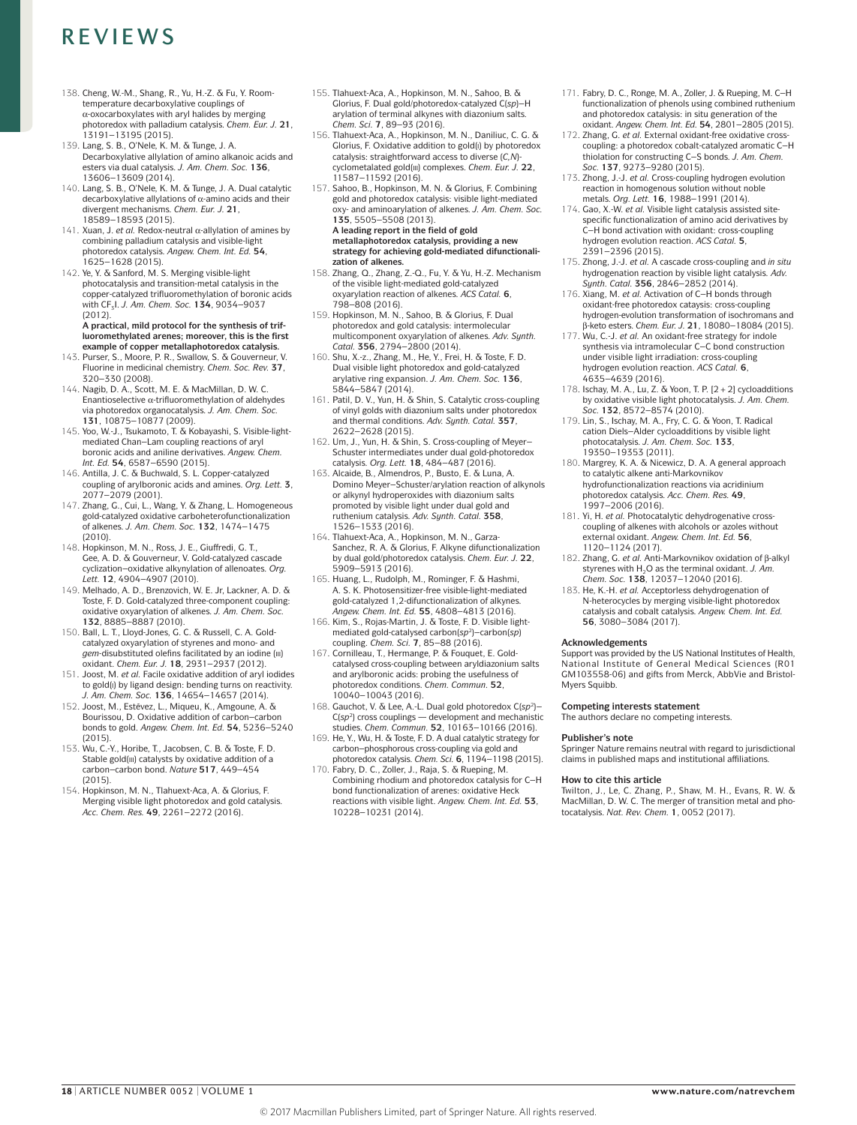- 138. Cheng, W.‑M., Shang, R., Yu, H.‑Z. & Fu, Y. Roomtemperature decarboxylative couplings of  $\alpha$ -oxocarboxylates with aryl halides by merging photoredox with palladium catalysis. *Chem. Eur. J.* **21**, 13191–13195 (2015).
- 139. Lang, S. B., O'Nele, K. M. & Tunge, J. A. Decarboxylative allylation of amino alkanoic acids and esters via dual catalysis. *J. Am. Chem. Soc.* **136**, 13606–13609 (2014).
- 140. Lang, S. B., O'Nele, K. M. & Tunge, J. A. Dual catalytic decarboxylative allylations of α-amino acids and their divergent mechanisms. *Chem. Eur. J.* **21**, 18589–18593 (2015).
- 141. Xuan, J. *et al.* Redox-neutral α‑allylation of amines by combining palladium catalysis and visible-light photoredox catalysis. *Angew. Chem. Int. Ed.* **54**, 1625–1628 (2015).
- 142. Ye, Y. & Sanford, M. S. Merging visible-light photocatalysis and transition-metal catalysis in the copper-catalyzed trifluoromethylation of boronic acids with CF3I. *J. Am. Chem. Soc.* **134**, 9034–9037  $(2012)$

#### **A practical, mild protocol for the synthesis of trifluoromethylated arenes; moreover, this is the first example of copper metallaphotoredox catalysis.**

- 143. Purser, S., Moore, P. R., Swallow, S. & Gouverneur, V. Fluorine in medicinal chemistry. *Chem. Soc. Rev.* **37**, 320–330 (2008).
- 144. Nagib, D. A., Scott, M. E. & MacMillan, D. W. C. Enantioselective α‑trifluoromethylation of aldehydes via photoredox organocatalysis. *J. Am. Chem. Soc.*  **131**, 10875–10877 (2009).
- 145. Yoo, W.‑J., Tsukamoto, T. & Kobayashi, S. Visible-lightmediated Chan–Lam coupling reactions of aryl boronic acids and aniline derivatives. *Angew. Chem. Int. Ed.* **54**, 6587–6590 (2015).
- 146. Antilla, J. C. & Buchwald, S. L. Copper-catalyzed coupling of arylboronic acids and amines. *Org. Lett.* **3**, 2077–2079 (2001).
- 147. Zhang, G., Cui, L., Wang, Y. & Zhang, L. Homogeneous gold-catalyzed oxidative carboheterofunctionalization of alkenes. *J. Am. Chem. Soc.* **132**, 1474–1475 (2010).
- 148. Hopkinson, M. N., Ross, J. E., Giuffredi, G. T., Gee, A. D. & Gouverneur, V. Gold-catalyzed cascade cyclization–oxidative alkynylation of allenoates. *Org. Lett.* **12**, 4904–4907 (2010).
- 149. Melhado, A. D., Brenzovich, W. E. Jr, Lackner, A. D. & Toste, F. D. Gold-catalyzed three-component coupling: oxidative oxyarylation of alkenes. *J. Am. Chem. Soc.*  **132**, 8885–8887 (2010).
- 150. Ball, L. T., Lloyd-Jones, G. C. & Russell, C. A. Goldcatalyzed oxyarylation of styrenes and mono- and *gem*-disubstituted olefins facilitated by an iodine (iii) oxidant. *Chem. Eur. J.* **18**, 2931–2937 (2012).
- 151. Joost, M. *et al.* Facile oxidative addition of aryl iodides to gold(i) by ligand design: bending turns on reactivity.
- *J. Am. Chem. Soc.* **136**, 14654–14657 (2014). 152. Joost, M., Estévez, L., Miqueu, K., Amgoune, A. & Bourissou, D. Oxidative addition of carbon–carbon bonds to gold. *Angew. Chem. Int. Ed.* **54**, 5236–5240 (2015).
- 153. Wu, C.-Y., Horibe, T., Jacobsen, C. B. & Toste, F. D. Stable gold(iii) catalysts by oxidative addition of a carbon–carbon bond. *Nature* **517**, 449–454 (2015).
- 154. Hopkinson, M. N., Tlahuext-Aca, A. & Glorius, F. Merging visible light photoredox and gold catalysis. *Acc. Chem. Res.* **49**, 2261–2272 (2016).
- 155. Tlahuext-Aca, A., Hopkinson, M. N., Sahoo, B. & Glorius, F. Dual gold/photoredox-catalyzed C(*sp*)–H arylation of terminal alkynes with diazonium salts. *Chem. Sci.* **7**, 89–93 (2016).
- 156. Tlahuext-Aca, A., Hopkinson, M. N., Daniliuc, C. G. & Glorius, F. Oxidative addition to gold(i) by photoredox catalysis: straightforward access to diverse (*C,N*)cyclometalated gold(iii) complexes. *Chem. Eur. J.* **22**,
- 11587–11592 (2016). 157. Sahoo, B., Hopkinson, M. N. & Glorius, F. Combining gold and photoredox catalysis: visible light-mediated oxy- and aminoarylation of alkenes. *J. Am. Chem. Soc.*  **135**, 5505–5508 (2013). **A leading report in the field of gold**
- **metallaphotoredox catalysis, providing a new strategy for achieving gold-mediated difunctionalization of alkenes.** 158. Zhang, Q., Zhang, Z.‑Q., Fu, Y. & Yu, H.‑Z. Mechanism
- of the visible light-mediated gold-catalyzed oxyarylation reaction of alkenes. *ACS Catal.* **6**, 798–808 (2016).
- 159. Hopkinson, M. N., Sahoo, B. & Glorius, F. Dual photoredox and gold catalysis: intermolecular multicomponent oxyarylation of alkenes. *Adv. Synth.*
- *Catal.* **356**, 2794–2800 (2014). 160. Shu, X.‑z., Zhang, M., He, Y., Frei, H. & Toste, F. D. Dual visible light photoredox and gold-catalyzed arylative ring expansion. *J. Am. Chem. Soc.* **136**, 5844–5847 (2014).
- 161. Patil, D. V., Yun, H. & Shin, S. Catalytic cross-coupling of vinyl golds with diazonium salts under photoredox and thermal conditions. Adv. Sunth. Catal. **357**, 2622–2628 (2015).
- 162. Um, J., Yun, H. & Shin, S. Cross-coupling of Meyer– Schuster intermediates under dual gold-photoredox catalysis. *Org. Lett.* **18**, 484–487 (2016).
- 163. Alcaide, B., Almendros, P., Busto, E. & Luna, A. Domino Meyer–Schuster/arylation reaction of alkynols or alkynyl hydroperoxides with diazonium salts promoted by visible light under dual gold and ruthenium catalysis. *Adv. Synth. Catal.* **358**,
- 1526–1533 (2016). 164. Tlahuext-Aca, A., Hopkinson, M. N., Garza-Sanchez, R. A. & Glorius, F. Alkyne difunctionalization by dual gold/photoredox catalysis. *Chem. Eur. J.* **22**, 5909–5913 (2016).
- 165. Huang, L., Rudolph, M., Rominger, F. & Hashmi, A. S. K. Photosensitizer-free visible-light-mediated gold-catalyzed 1,2‑difunctionalization of alkynes. *Angew. Chem. Int. Ed.* **55**, 4808–4813 (2016).
- 166. Kim, S., Rojas-Martin, J. & Toste, F. D. Visible lightmediated gold-catalysed carbon(*sp*2)–carbon(*sp*) coupling. *Chem. Sci.* **7**, 85–88 (2016).
- 167. Cornilleau, T., Hermange, P. & Fouquet, E. Goldcatalysed cross-coupling between aryldiazonium salts and arylboronic acids: probing the usefulness of photoredox conditions. *Chem. Commun.* **52**, 10040–10043 (2016).
- 168. Gauchot, V. & Lee, A.‑L. Dual gold photoredox C(*sp*2)– C(*sp*2) cross couplings — development and mechanistic studies. *Chem. Commun.* **52**, 10163–10166 (2016).
- 169. He, Y., Wu, H. & Toste, F. D. A dual catalytic strategy for carbon–phosphorous cross-coupling via gold and
- photoredox catalysis. *Chem. Sci.* **6**, 1194–1198 (2015). 170. Fabry, D. C., Zoller, J., Raja, S. & Rueping, M. Combining rhodium and photoredox catalysis for C–H bond functionalization of arenes: oxidative Heck reactions with visible light. *Angew. Chem. Int. Ed.* **53**, 10228–10231 (2014).
- 171. Fabry, D. C., Ronge, M. A., Zoller, J. & Rueping, M. C–H functionalization of phenols using combined ruthenium and photoredox catalysis: in situ generation of the oxidant. *Angew. Chem. Int. Ed.* **54**, 2801–2805 (2015).
- 172. Zhang, G. *et al.* External oxidant-free oxidative crosscoupling: a photoredox cobalt-catalyzed aromatic C–H thiolation for constructing C–S bonds. *J. Am. Chem. Soc.* **137**, 9273–9280 (2015).
- 173. Zhong, J.‑J. *et al.* Cross-coupling hydrogen evolution reaction in homogenous solution without noble metals. *Org. Lett.* **16**, 1988–1991 (2014).
- 174. Gao, X.‑W. *et al.* Visible light catalysis assisted sitespecific functionalization of amino acid derivatives by C–H bond activation with oxidant: cross-coupling hydrogen evolution reaction. *ACS Catal.* **5**, 2391–2396 (2015).
- 175. Zhong, J.‑J. *et al.* A cascade cross-coupling and *in situ* hydrogenation reaction by visible light catalysis*. Adv. Synth. Catal.* **356**, 2846–2852 (2014).
- 176. Xiang, M. *et al.* Activation of C–H bonds through oxidant-free photoredox cataysis: cross-coupling hydrogen-evolution transformation of isochromans and β‑keto esters. *Chem. Eur. J.* **21**, 18080–18084 (2015).
- 177. Wu, C.‑J. *et al.* An oxidant-free strategy for indole synthesis via intramolecular C–C bond construction under visible light irradiation: cross-coupling hydrogen evolution reaction. *ACS Catal.* **6**, 4635–4639 (2016).
- 178. Ischay, M. A., Lu, Z. & Yoon, T. P. [2+2] cycloadditions by oxidative visible light photocatalysis. *J. Am. Chem. Soc.* **132**, 8572–8574 (2010).
- 179. Lin, S., Ischay, M. A., Fry, C. G. & Yoon, T. Radical cation Diels–Alder cycloadditions by visible light photocatalysis. *J. Am. Chem. Soc.* **133**, 19350–19353 (2011).
- 180. Margrey, K. A. & Nicewicz, D. A. A general approach to catalytic alkene anti-Markovnikov hydrofunctionalization reactions via acridinium photoredox catalysis. *Acc. Chem. Res.* **49**, 1997–2006 (2016).
- 181. Yi, H. *et al.* Photocatalytic dehydrogenative crosscoupling of alkenes with alcohols or azoles without external oxidant. *Angew. Chem. Int. Ed.* **56**, 1120–1124 (2017).
- 182. Zhang, G. *et al.* Anti-Markovnikov oxidation of β‑alkyl styrenes with H<sub>2</sub>O as the terminal oxidant. *J. Am. Chem. Soc.* **138**, 12037–12040 (2016).
- 183. He, K.‑H. *et al.* Acceptorless dehydrogenation of N‑heterocycles by merging visible-light photoredox catalysis and cobalt catalysis. *Angew. Chem. Int. Ed.*  **56**, 3080–3084 (2017).

#### **Acknowledgements**

Support was provided by the US National Institutes of Health, National Institute of General Medical Sciences (R01 GM103558‑06) and gifts from Merck, AbbVie and Bristol-Myers Squibb.

#### **Competing interests statement**

The authors declare no competing interests.

#### **Publisher's note**

Springer Nature remains neutral with regard to jurisdictional claims in published maps and institutional affiliations.

#### **How to cite this article**

Twilton, J., Le, C. Zhang, P., Shaw, M. H., Evans, R. W. & MacMillan, D. W. C. The merger of transition metal and photocatalysis. *Nat. Rev. Chem.* **1**, 0052 (2017).